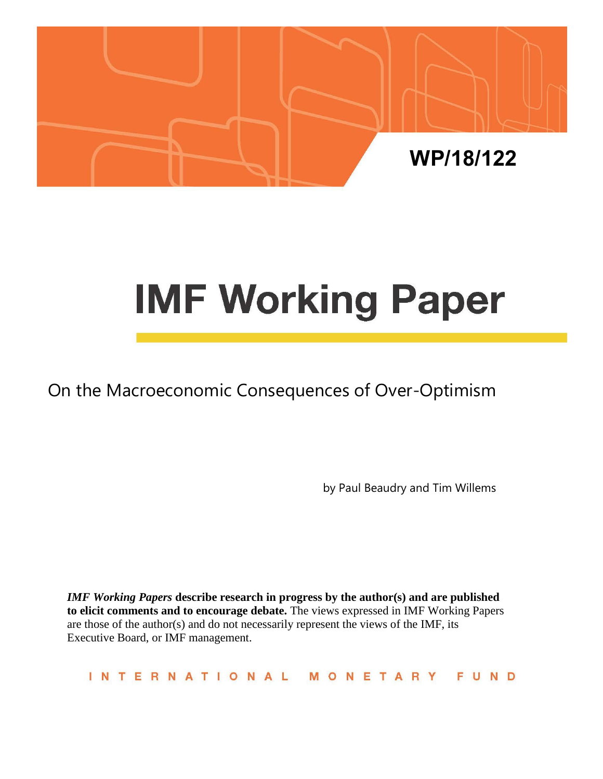

# **IMF Working Paper**

On the Macroeconomic Consequences of Over-Optimism

by Paul Beaudry and Tim Willems

*IMF Working Papers* **describe research in progress by the author(s) and are published to elicit comments and to encourage debate.** The views expressed in IMF Working Papers are those of the author(s) and do not necessarily represent the views of the IMF, its Executive Board, or IMF management.

**INTERNATIONAL** MONETARY FUND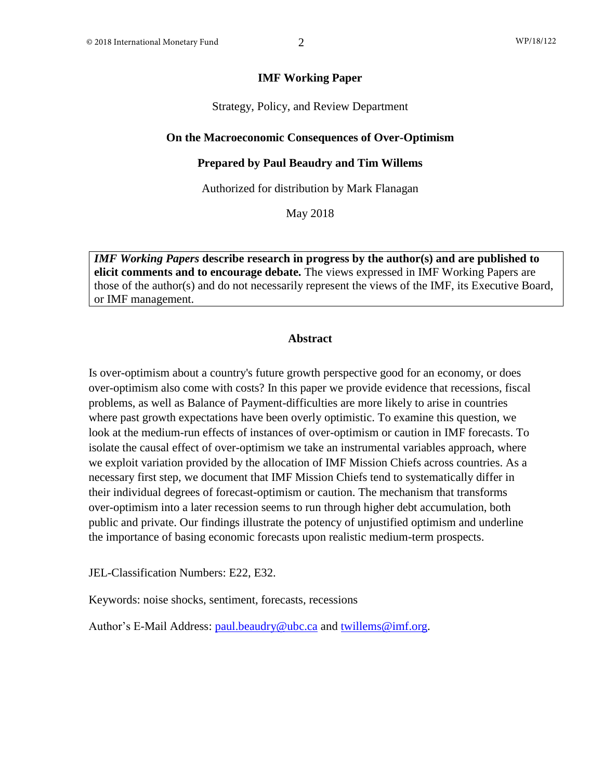#### **IMF Working Paper**

Strategy, Policy, and Review Department

#### **On the Macroeconomic Consequences of Over-Optimism**

#### **Prepared by Paul Beaudry and Tim Willems**

Authorized for distribution by Mark Flanagan

May 2018

*IMF Working Papers* **describe research in progress by the author(s) and are published to elicit comments and to encourage debate.** The views expressed in IMF Working Papers are those of the author(s) and do not necessarily represent the views of the IMF, its Executive Board, or IMF management.

#### **Abstract**

Is over-optimism about a country's future growth perspective good for an economy, or does over-optimism also come with costs? In this paper we provide evidence that recessions, fiscal problems, as well as Balance of Payment-difficulties are more likely to arise in countries where past growth expectations have been overly optimistic. To examine this question, we look at the medium-run effects of instances of over-optimism or caution in IMF forecasts. To isolate the causal effect of over-optimism we take an instrumental variables approach, where we exploit variation provided by the allocation of IMF Mission Chiefs across countries. As a necessary first step, we document that IMF Mission Chiefs tend to systematically differ in their individual degrees of forecast-optimism or caution. The mechanism that transforms over-optimism into a later recession seems to run through higher debt accumulation, both public and private. Our findings illustrate the potency of unjustified optimism and underline the importance of basing economic forecasts upon realistic medium-term prospects.

JEL-Classification Numbers: E22, E32.

Keywords: noise shocks, sentiment, forecasts, recessions

Author's E-Mail Address: [paul.beaudry@ubc.ca](mailto:paul.beaudry@ubc.ca) and [twillems@imf.org.](mailto:twillems@imf.org)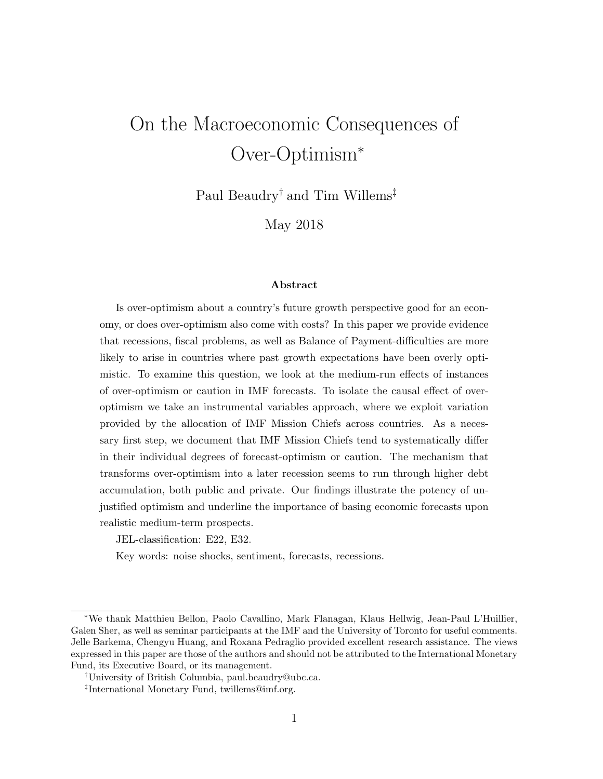# On the Macroeconomic Consequences of Over-Optimism<sup>∗</sup>

Paul Beaudry† and Tim Willems‡

May 2018

#### Abstract

Is over-optimism about a country's future growth perspective good for an economy, or does over-optimism also come with costs? In this paper we provide evidence that recessions, fiscal problems, as well as Balance of Payment-difficulties are more likely to arise in countries where past growth expectations have been overly optimistic. To examine this question, we look at the medium-run effects of instances of over-optimism or caution in IMF forecasts. To isolate the causal effect of overoptimism we take an instrumental variables approach, where we exploit variation provided by the allocation of IMF Mission Chiefs across countries. As a necessary first step, we document that IMF Mission Chiefs tend to systematically differ in their individual degrees of forecast-optimism or caution. The mechanism that transforms over-optimism into a later recession seems to run through higher debt accumulation, both public and private. Our findings illustrate the potency of unjustified optimism and underline the importance of basing economic forecasts upon realistic medium-term prospects.

JEL-classification: E22, E32.

Key words: noise shocks, sentiment, forecasts, recessions.

<sup>∗</sup>We thank Matthieu Bellon, Paolo Cavallino, Mark Flanagan, Klaus Hellwig, Jean-Paul L'Huillier, Galen Sher, as well as seminar participants at the IMF and the University of Toronto for useful comments. Jelle Barkema, Chengyu Huang, and Roxana Pedraglio provided excellent research assistance. The views expressed in this paper are those of the authors and should not be attributed to the International Monetary Fund, its Executive Board, or its management.

<sup>†</sup>University of British Columbia, paul.beaudry@ubc.ca.

<sup>‡</sup> International Monetary Fund, twillems@imf.org.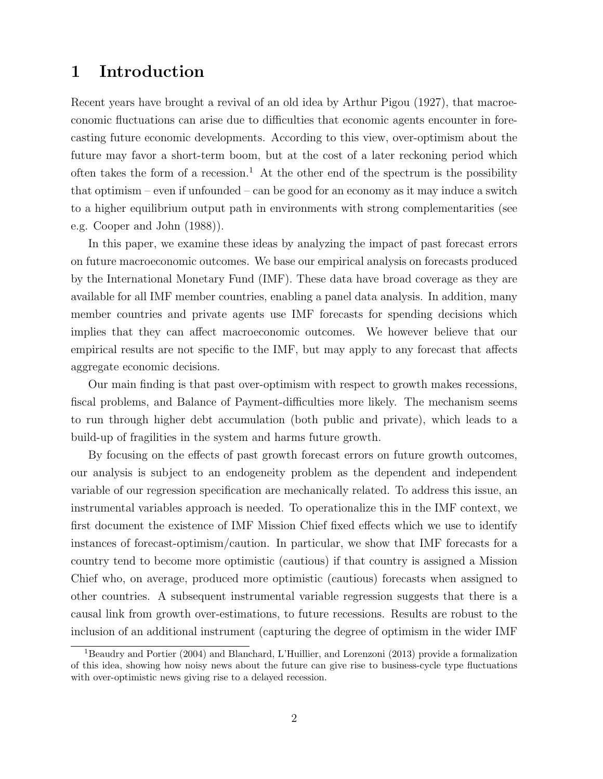## 1 Introduction

Recent years have brought a revival of an old idea by Arthur Pigou (1927), that macroeconomic fluctuations can arise due to difficulties that economic agents encounter in forecasting future economic developments. According to this view, over-optimism about the future may favor a short-term boom, but at the cost of a later reckoning period which often takes the form of a recession.<sup>1</sup> At the other end of the spectrum is the possibility that optimism – even if unfounded – can be good for an economy as it may induce a switch to a higher equilibrium output path in environments with strong complementarities (see e.g. Cooper and John (1988)).

In this paper, we examine these ideas by analyzing the impact of past forecast errors on future macroeconomic outcomes. We base our empirical analysis on forecasts produced by the International Monetary Fund (IMF). These data have broad coverage as they are available for all IMF member countries, enabling a panel data analysis. In addition, many member countries and private agents use IMF forecasts for spending decisions which implies that they can affect macroeconomic outcomes. We however believe that our empirical results are not specific to the IMF, but may apply to any forecast that affects aggregate economic decisions.

Our main finding is that past over-optimism with respect to growth makes recessions, fiscal problems, and Balance of Payment-difficulties more likely. The mechanism seems to run through higher debt accumulation (both public and private), which leads to a build-up of fragilities in the system and harms future growth.

By focusing on the effects of past growth forecast errors on future growth outcomes, our analysis is subject to an endogeneity problem as the dependent and independent variable of our regression specification are mechanically related. To address this issue, an instrumental variables approach is needed. To operationalize this in the IMF context, we first document the existence of IMF Mission Chief fixed effects which we use to identify instances of forecast-optimism/caution. In particular, we show that IMF forecasts for a country tend to become more optimistic (cautious) if that country is assigned a Mission Chief who, on average, produced more optimistic (cautious) forecasts when assigned to other countries. A subsequent instrumental variable regression suggests that there is a causal link from growth over-estimations, to future recessions. Results are robust to the inclusion of an additional instrument (capturing the degree of optimism in the wider IMF

<sup>1</sup>Beaudry and Portier (2004) and Blanchard, L'Huillier, and Lorenzoni (2013) provide a formalization of this idea, showing how noisy news about the future can give rise to business-cycle type fluctuations with over-optimistic news giving rise to a delayed recession.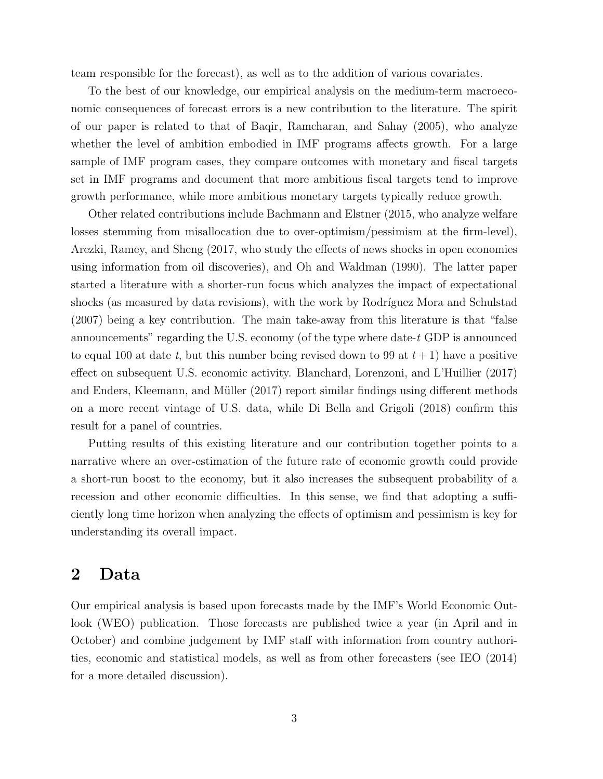team responsible for the forecast), as well as to the addition of various covariates.

To the best of our knowledge, our empirical analysis on the medium-term macroeconomic consequences of forecast errors is a new contribution to the literature. The spirit of our paper is related to that of Baqir, Ramcharan, and Sahay (2005), who analyze whether the level of ambition embodied in IMF programs affects growth. For a large sample of IMF program cases, they compare outcomes with monetary and fiscal targets set in IMF programs and document that more ambitious fiscal targets tend to improve growth performance, while more ambitious monetary targets typically reduce growth.

Other related contributions include Bachmann and Elstner (2015, who analyze welfare losses stemming from misallocation due to over-optimism/pessimism at the firm-level), Arezki, Ramey, and Sheng (2017, who study the effects of news shocks in open economies using information from oil discoveries), and Oh and Waldman (1990). The latter paper started a literature with a shorter-run focus which analyzes the impact of expectational shocks (as measured by data revisions), with the work by Rodríguez Mora and Schulstad (2007) being a key contribution. The main take-away from this literature is that "false announcements" regarding the U.S. economy (of the type where date- $t$  GDP is announced to equal 100 at date t, but this number being revised down to 99 at  $t + 1$ ) have a positive effect on subsequent U.S. economic activity. Blanchard, Lorenzoni, and L'Huillier (2017) and Enders, Kleemann, and Müller (2017) report similar findings using different methods on a more recent vintage of U.S. data, while Di Bella and Grigoli (2018) confirm this result for a panel of countries.

Putting results of this existing literature and our contribution together points to a narrative where an over-estimation of the future rate of economic growth could provide a short-run boost to the economy, but it also increases the subsequent probability of a recession and other economic difficulties. In this sense, we find that adopting a sufficiently long time horizon when analyzing the effects of optimism and pessimism is key for understanding its overall impact.

## 2 Data

Our empirical analysis is based upon forecasts made by the IMF's World Economic Outlook (WEO) publication. Those forecasts are published twice a year (in April and in October) and combine judgement by IMF staff with information from country authorities, economic and statistical models, as well as from other forecasters (see IEO (2014) for a more detailed discussion).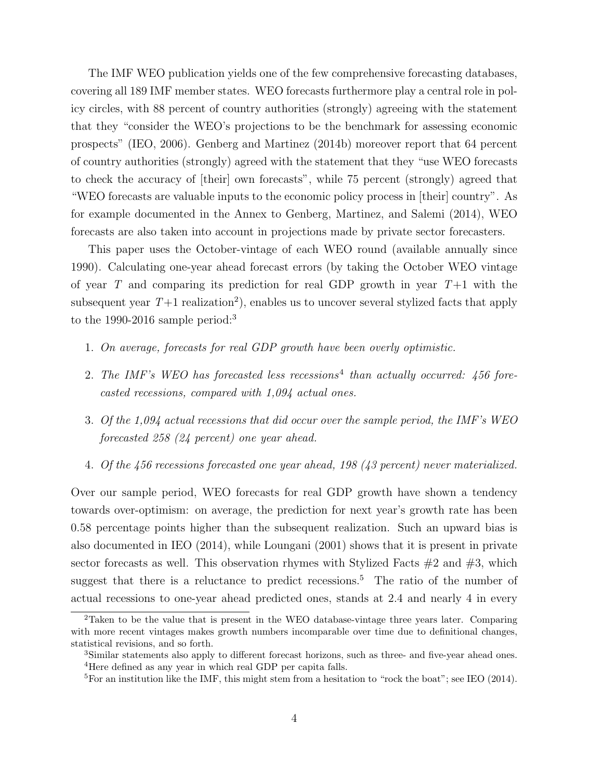The IMF WEO publication yields one of the few comprehensive forecasting databases, covering all 189 IMF member states. WEO forecasts furthermore play a central role in policy circles, with 88 percent of country authorities (strongly) agreeing with the statement that they "consider the WEO's projections to be the benchmark for assessing economic prospects" (IEO, 2006). Genberg and Martinez (2014b) moreover report that 64 percent of country authorities (strongly) agreed with the statement that they "use WEO forecasts to check the accuracy of [their] own forecasts", while 75 percent (strongly) agreed that "WEO forecasts are valuable inputs to the economic policy process in [their] country". As for example documented in the Annex to Genberg, Martinez, and Salemi (2014), WEO forecasts are also taken into account in projections made by private sector forecasters.

This paper uses the October-vintage of each WEO round (available annually since 1990). Calculating one-year ahead forecast errors (by taking the October WEO vintage of year T and comparing its prediction for real GDP growth in year  $T+1$  with the subsequent year  $T+1$  realization<sup>2</sup>), enables us to uncover several stylized facts that apply to the 1990-2016 sample period:<sup>3</sup>

- 1. On average, forecasts for real GDP growth have been overly optimistic.
- 2. The IMF's WEO has forecasted less recessions<sup>4</sup> than actually occurred:  $456$  forecasted recessions, compared with 1,094 actual ones.
- 3. Of the 1,094 actual recessions that did occur over the sample period, the IMF's WEO forecasted 258 (24 percent) one year ahead.
- 4. Of the 456 recessions forecasted one year ahead, 198 (43 percent) never materialized.

Over our sample period, WEO forecasts for real GDP growth have shown a tendency towards over-optimism: on average, the prediction for next year's growth rate has been 0.58 percentage points higher than the subsequent realization. Such an upward bias is also documented in IEO (2014), while Loungani (2001) shows that it is present in private sector forecasts as well. This observation rhymes with Stylized Facts  $\#2$  and  $\#3$ , which suggest that there is a reluctance to predict recessions.<sup>5</sup> The ratio of the number of actual recessions to one-year ahead predicted ones, stands at 2.4 and nearly 4 in every

<sup>2</sup>Taken to be the value that is present in the WEO database-vintage three years later. Comparing with more recent vintages makes growth numbers incomparable over time due to definitional changes, statistical revisions, and so forth.

<sup>3</sup>Similar statements also apply to different forecast horizons, such as three- and five-year ahead ones. <sup>4</sup>Here defined as any year in which real GDP per capita falls.

<sup>&</sup>lt;sup>5</sup>For an institution like the IMF, this might stem from a hesitation to "rock the boat"; see IEO (2014).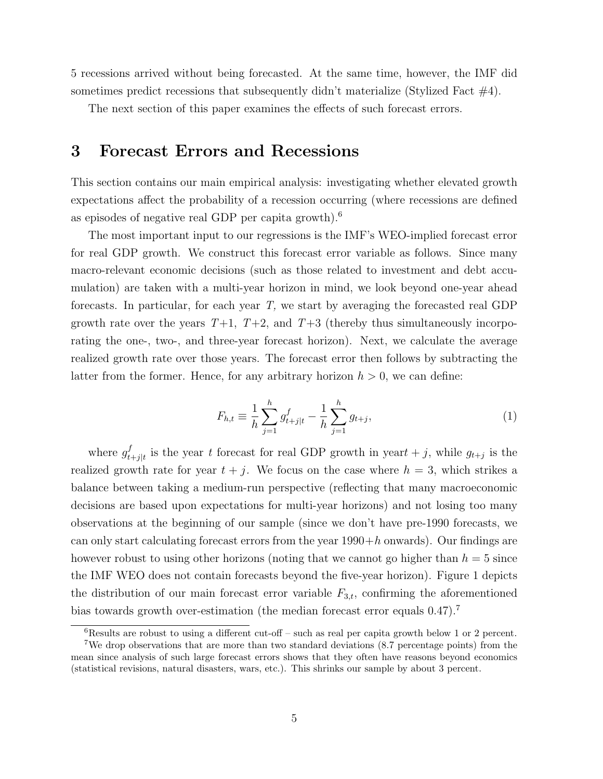5 recessions arrived without being forecasted. At the same time, however, the IMF did sometimes predict recessions that subsequently didn't materialize (Stylized Fact  $\#4$ ).

The next section of this paper examines the effects of such forecast errors.

## 3 Forecast Errors and Recessions

This section contains our main empirical analysis: investigating whether elevated growth expectations affect the probability of a recession occurring (where recessions are defined as episodes of negative real GDP per capita growth).<sup>6</sup>

The most important input to our regressions is the IMF's WEO-implied forecast error for real GDP growth. We construct this forecast error variable as follows. Since many macro-relevant economic decisions (such as those related to investment and debt accumulation) are taken with a multi-year horizon in mind, we look beyond one-year ahead forecasts. In particular, for each year T, we start by averaging the forecasted real GDP growth rate over the years  $T+1$ ,  $T+2$ , and  $T+3$  (thereby thus simultaneously incorporating the one-, two-, and three-year forecast horizon). Next, we calculate the average realized growth rate over those years. The forecast error then follows by subtracting the latter from the former. Hence, for any arbitrary horizon  $h > 0$ , we can define:

$$
F_{h,t} \equiv \frac{1}{h} \sum_{j=1}^{h} g_{t+j|t}^f - \frac{1}{h} \sum_{j=1}^{h} g_{t+j},
$$
\n(1)

where  $g_t^f$  $t_{t+j|t}$  is the year t forecast for real GDP growth in year  $t+j$ , while  $g_{t+j}$  is the realized growth rate for year  $t + j$ . We focus on the case where  $h = 3$ , which strikes a balance between taking a medium-run perspective (reflecting that many macroeconomic decisions are based upon expectations for multi-year horizons) and not losing too many observations at the beginning of our sample (since we don't have pre-1990 forecasts, we can only start calculating forecast errors from the year  $1990+h$  onwards). Our findings are however robust to using other horizons (noting that we cannot go higher than  $h = 5$  since the IMF WEO does not contain forecasts beyond the five-year horizon). Figure 1 depicts the distribution of our main forecast error variable  $F_{3,t}$ , confirming the aforementioned bias towards growth over-estimation (the median forecast error equals 0.47).<sup>7</sup>

 ${}^{6}$ Results are robust to using a different cut-off – such as real per capita growth below 1 or 2 percent. <sup>7</sup>We drop observations that are more than two standard deviations (8.7 percentage points) from the mean since analysis of such large forecast errors shows that they often have reasons beyond economics (statistical revisions, natural disasters, wars, etc.). This shrinks our sample by about 3 percent.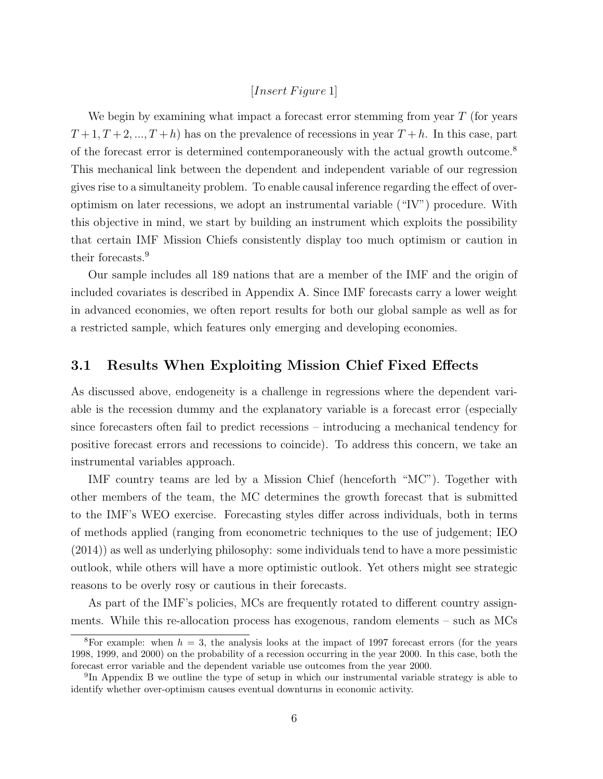#### $[Insert \, Figure\, 1]$

We begin by examining what impact a forecast error stemming from year  $T$  (for years  $T+1, T+2, ..., T+h$  has on the prevalence of recessions in year  $T+h$ . In this case, part of the forecast error is determined contemporaneously with the actual growth outcome.<sup>8</sup> This mechanical link between the dependent and independent variable of our regression gives rise to a simultaneity problem. To enable causal inference regarding the effect of overoptimism on later recessions, we adopt an instrumental variable ("IV") procedure. With this objective in mind, we start by building an instrument which exploits the possibility that certain IMF Mission Chiefs consistently display too much optimism or caution in their forecasts.<sup>9</sup>

Our sample includes all 189 nations that are a member of the IMF and the origin of included covariates is described in Appendix A. Since IMF forecasts carry a lower weight in advanced economies, we often report results for both our global sample as well as for a restricted sample, which features only emerging and developing economies.

## 3.1 Results When Exploiting Mission Chief Fixed Effects

As discussed above, endogeneity is a challenge in regressions where the dependent variable is the recession dummy and the explanatory variable is a forecast error (especially since forecasters often fail to predict recessions – introducing a mechanical tendency for positive forecast errors and recessions to coincide). To address this concern, we take an instrumental variables approach.

IMF country teams are led by a Mission Chief (henceforth "MC"). Together with other members of the team, the MC determines the growth forecast that is submitted to the IMF's WEO exercise. Forecasting styles differ across individuals, both in terms of methods applied (ranging from econometric techniques to the use of judgement; IEO (2014)) as well as underlying philosophy: some individuals tend to have a more pessimistic outlook, while others will have a more optimistic outlook. Yet others might see strategic reasons to be overly rosy or cautious in their forecasts.

As part of the IMF's policies, MCs are frequently rotated to different country assignments. While this re-allocation process has exogenous, random elements – such as MCs

<sup>&</sup>lt;sup>8</sup>For example: when  $h = 3$ , the analysis looks at the impact of 1997 forecast errors (for the years 1998, 1999, and 2000) on the probability of a recession occurring in the year 2000. In this case, both the forecast error variable and the dependent variable use outcomes from the year 2000.

<sup>&</sup>lt;sup>9</sup>In Appendix B we outline the type of setup in which our instrumental variable strategy is able to identify whether over-optimism causes eventual downturns in economic activity.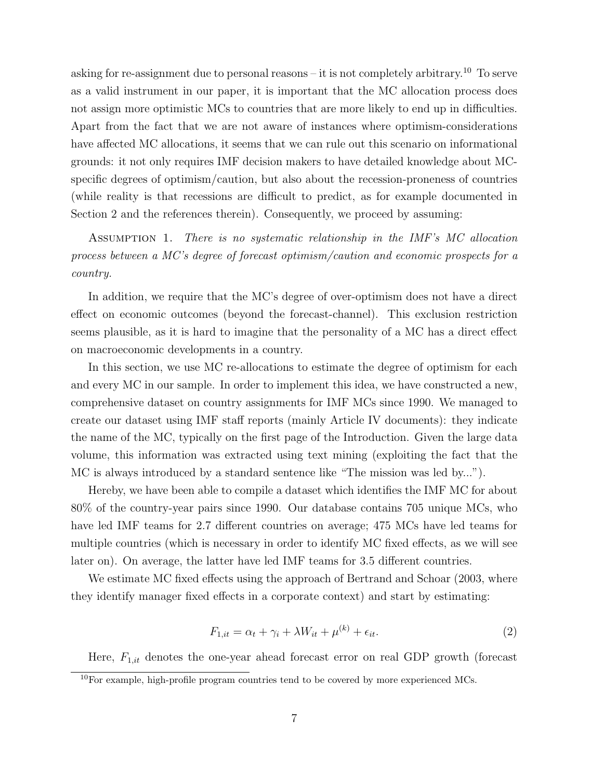asking for re-assignment due to personal reasons – it is not completely arbitrary.<sup>10</sup> To serve as a valid instrument in our paper, it is important that the MC allocation process does not assign more optimistic MCs to countries that are more likely to end up in difficulties. Apart from the fact that we are not aware of instances where optimism-considerations have affected MC allocations, it seems that we can rule out this scenario on informational grounds: it not only requires IMF decision makers to have detailed knowledge about MCspecific degrees of optimism/caution, but also about the recession-proneness of countries (while reality is that recessions are difficult to predict, as for example documented in Section 2 and the references therein). Consequently, we proceed by assuming:

ASSUMPTION 1. There is no systematic relationship in the IMF's MC allocation process between a MC's degree of forecast optimism/caution and economic prospects for a country.

In addition, we require that the MC's degree of over-optimism does not have a direct effect on economic outcomes (beyond the forecast-channel). This exclusion restriction seems plausible, as it is hard to imagine that the personality of a MC has a direct effect on macroeconomic developments in a country.

In this section, we use MC re-allocations to estimate the degree of optimism for each and every MC in our sample. In order to implement this idea, we have constructed a new, comprehensive dataset on country assignments for IMF MCs since 1990. We managed to create our dataset using IMF staff reports (mainly Article IV documents): they indicate the name of the MC, typically on the first page of the Introduction. Given the large data volume, this information was extracted using text mining (exploiting the fact that the MC is always introduced by a standard sentence like "The mission was led by...").

Hereby, we have been able to compile a dataset which identifies the IMF MC for about 80% of the country-year pairs since 1990. Our database contains 705 unique MCs, who have led IMF teams for 2.7 different countries on average; 475 MCs have led teams for multiple countries (which is necessary in order to identify MC fixed effects, as we will see later on). On average, the latter have led IMF teams for 3.5 different countries.

We estimate MC fixed effects using the approach of Bertrand and Schoar (2003, where they identify manager fixed effects in a corporate context) and start by estimating:

$$
F_{1,it} = \alpha_t + \gamma_i + \lambda W_{it} + \mu^{(k)} + \epsilon_{it}.
$$
\n<sup>(2)</sup>

Here,  $F_{1,it}$  denotes the one-year ahead forecast error on real GDP growth (forecast

 $10$ For example, high-profile program countries tend to be covered by more experienced MCs.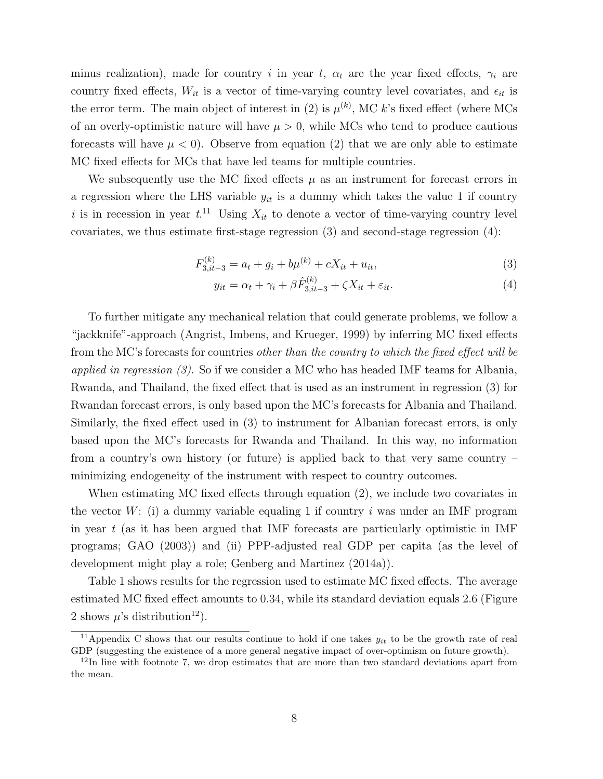minus realization), made for country i in year t,  $\alpha_t$  are the year fixed effects,  $\gamma_i$  are country fixed effects,  $W_{it}$  is a vector of time-varying country level covariates, and  $\epsilon_{it}$  is the error term. The main object of interest in (2) is  $\mu^{(k)}$ , MC k's fixed effect (where MCs of an overly-optimistic nature will have  $\mu > 0$ , while MCs who tend to produce cautious forecasts will have  $\mu < 0$ . Observe from equation (2) that we are only able to estimate MC fixed effects for MCs that have led teams for multiple countries.

We subsequently use the MC fixed effects  $\mu$  as an instrument for forecast errors in a regression where the LHS variable  $y_{it}$  is a dummy which takes the value 1 if country i is in recession in year  $t^{11}$  Using  $X_{it}$  to denote a vector of time-varying country level covariates, we thus estimate first-stage regression (3) and second-stage regression (4):

$$
F_{3,it-3}^{(k)} = a_t + g_i + b\mu^{(k)} + cX_{it} + u_{it},\tag{3}
$$

$$
y_{it} = \alpha_t + \gamma_i + \beta \hat{F}_{3,it-3}^{(k)} + \zeta X_{it} + \varepsilon_{it}.
$$
\n
$$
\tag{4}
$$

To further mitigate any mechanical relation that could generate problems, we follow a "jackknife"-approach (Angrist, Imbens, and Krueger, 1999) by inferring MC fixed effects from the MC's forecasts for countries other than the country to which the fixed effect will be applied in regression  $(3)$ . So if we consider a MC who has headed IMF teams for Albania, Rwanda, and Thailand, the fixed effect that is used as an instrument in regression (3) for Rwandan forecast errors, is only based upon the MC's forecasts for Albania and Thailand. Similarly, the fixed effect used in (3) to instrument for Albanian forecast errors, is only based upon the MC's forecasts for Rwanda and Thailand. In this way, no information from a country's own history (or future) is applied back to that very same country – minimizing endogeneity of the instrument with respect to country outcomes.

When estimating MC fixed effects through equation (2), we include two covariates in the vector  $W:$  (i) a dummy variable equaling 1 if country i was under an IMF program in year  $t$  (as it has been argued that IMF forecasts are particularly optimistic in IMF programs; GAO (2003)) and (ii) PPP-adjusted real GDP per capita (as the level of development might play a role; Genberg and Martinez (2014a)).

Table 1 shows results for the regression used to estimate MC fixed effects. The average estimated MC fixed effect amounts to 0.34, while its standard deviation equals 2.6 (Figure 2 shows  $\mu$ 's distribution<sup>12</sup>).

<sup>&</sup>lt;sup>11</sup>Appendix C shows that our results continue to hold if one takes  $y_{it}$  to be the growth rate of real GDP (suggesting the existence of a more general negative impact of over-optimism on future growth).

 $12$ In line with footnote 7, we drop estimates that are more than two standard deviations apart from the mean.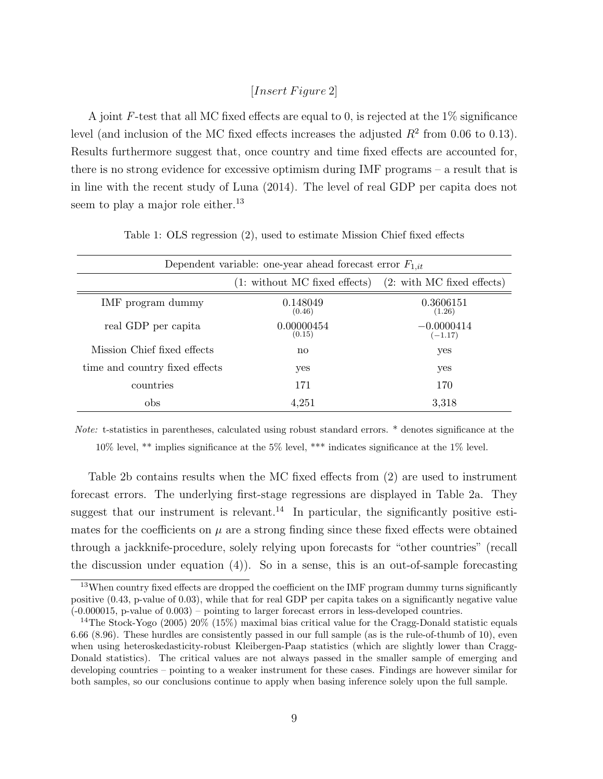### $[Insert \, Figure \, 2]$

A joint F-test that all MC fixed effects are equal to 0, is rejected at the 1% significance level (and inclusion of the MC fixed effects increases the adjusted  $R^2$  from 0.06 to 0.13). Results furthermore suggest that, once country and time fixed effects are accounted for, there is no strong evidence for excessive optimism during IMF programs – a result that is in line with the recent study of Luna (2014). The level of real GDP per capita does not seem to play a major role either.<sup>13</sup>

| Dependent variable: one-year ahead forecast error $F_{1,it}$ |                               |                            |  |  |  |
|--------------------------------------------------------------|-------------------------------|----------------------------|--|--|--|
|                                                              | (1: without MC fixed effects) | (2: with MC fixed effects) |  |  |  |
| IMF program dummy                                            | 0.148049<br>(0.46)            | 0.3606151<br>(1.26)        |  |  |  |
| real GDP per capita                                          | 0.00000454<br>(0.15)          | $-0.0000414$<br>$(-1.17)$  |  |  |  |
| Mission Chief fixed effects                                  | no                            | yes                        |  |  |  |
| time and country fixed effects                               | yes                           | yes                        |  |  |  |
| countries                                                    | 171                           | 170                        |  |  |  |
| obs                                                          | 4.251                         | 3.318                      |  |  |  |

Table 1: OLS regression (2), used to estimate Mission Chief fixed effects

Note: t-statistics in parentheses, calculated using robust standard errors. \* denotes significance at the  $10\%$  level, \*\* implies significance at the 5% level, \*\*\* indicates significance at the 1% level.

Table 2b contains results when the MC fixed effects from (2) are used to instrument forecast errors. The underlying first-stage regressions are displayed in Table 2a. They suggest that our instrument is relevant.<sup>14</sup> In particular, the significantly positive estimates for the coefficients on  $\mu$  are a strong finding since these fixed effects were obtained through a jackknife-procedure, solely relying upon forecasts for "other countries" (recall the discussion under equation (4)). So in a sense, this is an out-of-sample forecasting

<sup>&</sup>lt;sup>13</sup>When country fixed effects are dropped the coefficient on the IMF program dummy turns significantly positive (0.43, p-value of 0.03), while that for real GDP per capita takes on a significantly negative value (-0.000015, p-value of 0.003) – pointing to larger forecast errors in less-developed countries.

<sup>14</sup>The Stock-Yogo (2005) 20% (15%) maximal bias critical value for the Cragg-Donald statistic equals 6.66 (8.96). These hurdles are consistently passed in our full sample (as is the rule-of-thumb of 10), even when using heteroskedasticity-robust Kleibergen-Paap statistics (which are slightly lower than Cragg-Donald statistics). The critical values are not always passed in the smaller sample of emerging and developing countries – pointing to a weaker instrument for these cases. Findings are however similar for both samples, so our conclusions continue to apply when basing inference solely upon the full sample.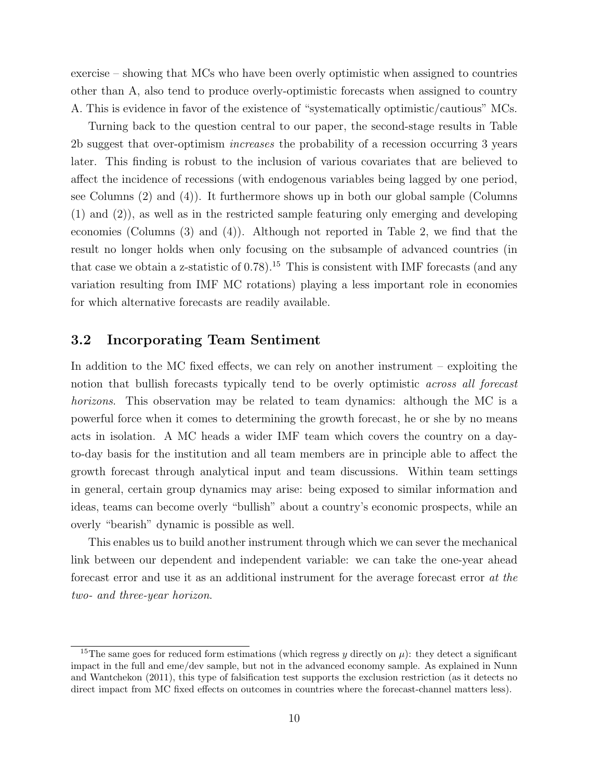exercise – showing that MCs who have been overly optimistic when assigned to countries other than A, also tend to produce overly-optimistic forecasts when assigned to country A. This is evidence in favor of the existence of "systematically optimistic/cautious" MCs.

Turning back to the question central to our paper, the second-stage results in Table 2b suggest that over-optimism increases the probability of a recession occurring 3 years later. This finding is robust to the inclusion of various covariates that are believed to affect the incidence of recessions (with endogenous variables being lagged by one period, see Columns (2) and (4)). It furthermore shows up in both our global sample (Columns (1) and (2)), as well as in the restricted sample featuring only emerging and developing economies (Columns (3) and (4)). Although not reported in Table 2, we find that the result no longer holds when only focusing on the subsample of advanced countries (in that case we obtain a z-statistic of  $(0.78)$ .<sup>15</sup> This is consistent with IMF forecasts (and any variation resulting from IMF MC rotations) playing a less important role in economies for which alternative forecasts are readily available.

## 3.2 Incorporating Team Sentiment

In addition to the MC fixed effects, we can rely on another instrument – exploiting the notion that bullish forecasts typically tend to be overly optimistic across all forecast horizons. This observation may be related to team dynamics: although the MC is a powerful force when it comes to determining the growth forecast, he or she by no means acts in isolation. A MC heads a wider IMF team which covers the country on a dayto-day basis for the institution and all team members are in principle able to affect the growth forecast through analytical input and team discussions. Within team settings in general, certain group dynamics may arise: being exposed to similar information and ideas, teams can become overly "bullish" about a country's economic prospects, while an overly "bearish" dynamic is possible as well.

This enables us to build another instrument through which we can sever the mechanical link between our dependent and independent variable: we can take the one-year ahead forecast error and use it as an additional instrument for the average forecast error at the two- and three-year horizon.

<sup>&</sup>lt;sup>15</sup>The same goes for reduced form estimations (which regress y directly on  $\mu$ ): they detect a significant impact in the full and eme/dev sample, but not in the advanced economy sample. As explained in Nunn and Wantchekon (2011), this type of falsification test supports the exclusion restriction (as it detects no direct impact from MC fixed effects on outcomes in countries where the forecast-channel matters less).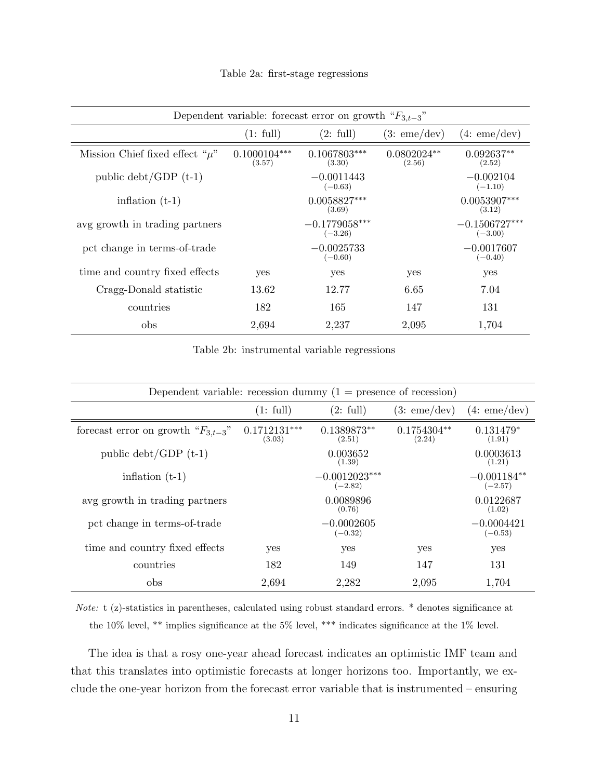| Dependent variable: forecast error on growth " $F_{3,t-3}$ " |                          |                              |                         |                              |  |
|--------------------------------------------------------------|--------------------------|------------------------------|-------------------------|------------------------------|--|
|                                                              | (1: full)                | (2: full)                    | (3:eme/dev)             | (4:eme/dev)                  |  |
| Mission Chief fixed effect " $\mu$ "                         | $0.1000104***$<br>(3.57) | $0.1067803***$<br>(3.30)     | $0.0802024**$<br>(2.56) | $0.092637**$<br>(2.52)       |  |
| public $\text{debt}/\text{GDP (t-1)}$                        |                          | $-0.0011443$<br>$(-0.63)$    |                         | $-0.002104$<br>$(-1.10)$     |  |
| inflation $(t-1)$                                            |                          | $0.0058827***$<br>(3.69)     |                         | $0.0053907***$<br>(3.12)     |  |
| avg growth in trading partners                               |                          | $-0.1779058***$<br>$(-3.26)$ |                         | $-0.1506727***$<br>$(-3.00)$ |  |
| pct change in terms-of-trade                                 |                          | $-0.0025733$<br>$(-0.60)$    |                         | $-0.0017607$<br>$(-0.40)$    |  |
| time and country fixed effects                               | yes                      | yes                          | yes                     | yes                          |  |
| Cragg-Donald statistic                                       | 13.62                    | 12.77                        | 6.65                    | 7.04                         |  |
| countries                                                    | 182                      | 165                          | 147                     | 131                          |  |
| obs                                                          | 2,694                    | 2,237                        | 2,095                   | 1,704                        |  |

Table 2a: first-stage regressions

Table 2b: instrumental variable regressions

| Dependent variable: recession dummy $(1 =$ presence of recession) |                          |                              |                         |                            |
|-------------------------------------------------------------------|--------------------------|------------------------------|-------------------------|----------------------------|
|                                                                   | (1: full)                | (2: full)                    | (3:eme/dev)             | (4:eme/dev)                |
| forecast error on growth " $F_{3,t-3}$ "                          | $0.1712131***$<br>(3.03) | $0.1389873**$<br>(2.51)      | $0.1754304**$<br>(2.24) | $0.131479*$<br>(1.91)      |
| public $\text{debt}/\text{GDP (t-1)}$                             |                          | 0.003652<br>(1.39)           |                         | 0.0003613<br>(1.21)        |
| inflation $(t-1)$                                                 |                          | $-0.0012023***$<br>$(-2.82)$ |                         | $-0.001184**$<br>$(-2.57)$ |
| avg growth in trading partners                                    |                          | 0.0089896<br>(0.76)          |                         | 0.0122687<br>(1.02)        |
| pct change in terms-of-trade                                      |                          | $-0.0002605$<br>$(-0.32)$    |                         | $-0.0004421$<br>$(-0.53)$  |
| time and country fixed effects                                    | yes                      | yes                          | yes                     | yes                        |
| countries                                                         | 182                      | 149                          | 147                     | 131                        |
| obs                                                               | 2,694                    | 2,282                        | 2,095                   | 1,704                      |

Note: t (z)-statistics in parentheses, calculated using robust standard errors. \* denotes significance at the 10% level, \*\* implies significance at the 5% level, \*\*\* indicates significance at the 1% level.

The idea is that a rosy one-year ahead forecast indicates an optimistic IMF team and that this translates into optimistic forecasts at longer horizons too. Importantly, we exclude the one-year horizon from the forecast error variable that is instrumented – ensuring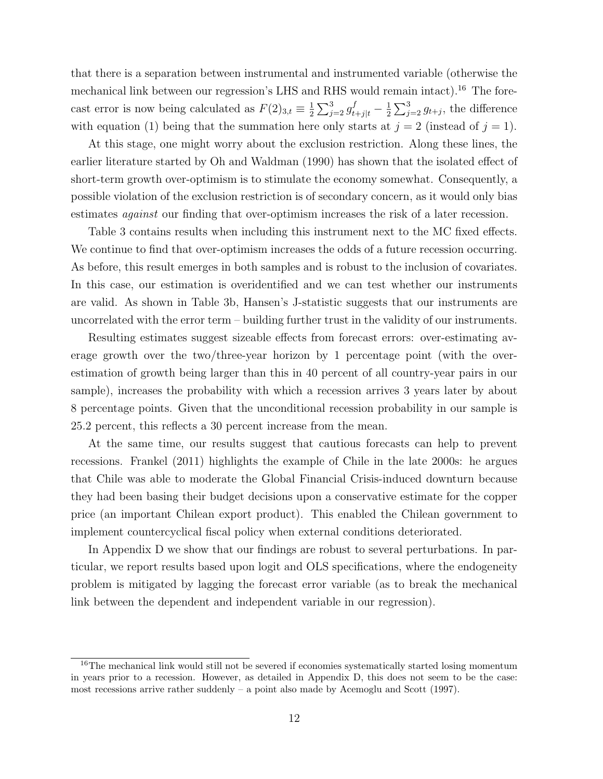that there is a separation between instrumental and instrumented variable (otherwise the mechanical link between our regression's LHS and RHS would remain intact).<sup>16</sup> The forecast error is now being calculated as  $F(2)_{3,t} \equiv \frac{1}{2}$  $\frac{1}{2}\sum_{j=2}^{3}g_{t+j|t}^{f}-\frac{1}{2}$  $\frac{1}{2} \sum_{j=2}^{3} g_{t+j}$ , the difference with equation (1) being that the summation here only starts at  $j = 2$  (instead of  $j = 1$ ).

At this stage, one might worry about the exclusion restriction. Along these lines, the earlier literature started by Oh and Waldman (1990) has shown that the isolated effect of short-term growth over-optimism is to stimulate the economy somewhat. Consequently, a possible violation of the exclusion restriction is of secondary concern, as it would only bias estimates against our finding that over-optimism increases the risk of a later recession.

Table 3 contains results when including this instrument next to the MC fixed effects. We continue to find that over-optimism increases the odds of a future recession occurring. As before, this result emerges in both samples and is robust to the inclusion of covariates. In this case, our estimation is overidentified and we can test whether our instruments are valid. As shown in Table 3b, Hansen's J-statistic suggests that our instruments are uncorrelated with the error term – building further trust in the validity of our instruments.

Resulting estimates suggest sizeable effects from forecast errors: over-estimating average growth over the two/three-year horizon by 1 percentage point (with the overestimation of growth being larger than this in 40 percent of all country-year pairs in our sample), increases the probability with which a recession arrives 3 years later by about 8 percentage points. Given that the unconditional recession probability in our sample is 25.2 percent, this reflects a 30 percent increase from the mean.

At the same time, our results suggest that cautious forecasts can help to prevent recessions. Frankel (2011) highlights the example of Chile in the late 2000s: he argues that Chile was able to moderate the Global Financial Crisis-induced downturn because they had been basing their budget decisions upon a conservative estimate for the copper price (an important Chilean export product). This enabled the Chilean government to implement countercyclical fiscal policy when external conditions deteriorated.

In Appendix D we show that our findings are robust to several perturbations. In particular, we report results based upon logit and OLS specifications, where the endogeneity problem is mitigated by lagging the forecast error variable (as to break the mechanical link between the dependent and independent variable in our regression).

<sup>&</sup>lt;sup>16</sup>The mechanical link would still not be severed if economies systematically started losing momentum in years prior to a recession. However, as detailed in Appendix D, this does not seem to be the case: most recessions arrive rather suddenly  $-$  a point also made by Acemoglu and Scott (1997).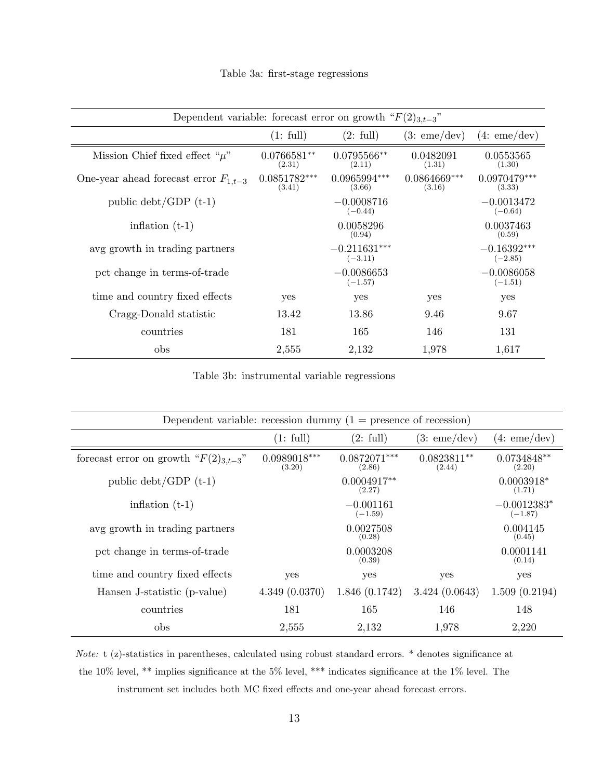| Dependent variable: forecast error on growth " $F(2)_{3,t=3}$ " |                          |                             |                          |                            |
|-----------------------------------------------------------------|--------------------------|-----------------------------|--------------------------|----------------------------|
|                                                                 | (1: full)                | (2: full)                   | (3:eme/dev)              | (4:eme/dev)                |
| Mission Chief fixed effect " $\mu$ "                            | $0.0766581**$<br>(2.31)  | $0.0795566**$<br>(2.11)     | 0.0482091<br>(1.31)      | 0.0553565<br>(1.30)        |
| One-year ahead forecast error $F_{1,t-3}$                       | $0.0851782***$<br>(3.41) | $0.0965994***$<br>(3.66)    | $0.0864669***$<br>(3.16) | $0.0970479***$<br>(3.33)   |
| public $\text{debt}/\text{GDP (t-1)}$                           |                          | $-0.0008716$<br>$(-0.44)$   |                          | $-0.0013472$<br>$(-0.64)$  |
| inflation $(t-1)$                                               |                          | 0.0058296<br>(0.94)         |                          | 0.0037463<br>(0.59)        |
| avg growth in trading partners                                  |                          | $-0.211631***$<br>$(-3.11)$ |                          | $-0.16392***$<br>$(-2.85)$ |
| pct change in terms-of-trade                                    |                          | $-0.0086653$<br>$(-1.57)$   |                          | $-0.0086058$<br>$(-1.51)$  |
| time and country fixed effects                                  | yes                      | yes                         | yes                      | yes                        |
| Cragg-Donald statistic                                          | 13.42                    | 13.86                       | 9.46                     | 9.67                       |
| countries                                                       | 181                      | 165                         | 146                      | 131                        |
| obs                                                             | 2,555                    | 2,132                       | 1,978                    | 1,617                      |

Table 3a: first-stage regressions

Table 3b: instrumental variable regressions

| Dependent variable: recession dummy $(1 =$ presence of recession) |                          |                          |                         |                            |
|-------------------------------------------------------------------|--------------------------|--------------------------|-------------------------|----------------------------|
|                                                                   | (1: full)                | (2: full)                | (3:eme/dev)             | (4:eme/dev)                |
| forecast error on growth " $F(2)_{3,t-3}$ "                       | $0.0989018***$<br>(3.20) | $0.0872071***$<br>(2.86) | $0.0823811**$<br>(2.44) | $0.0734848**$<br>(2.20)    |
| public $\text{debt}/\text{GDP}$ (t-1)                             |                          | $0.0004917**$<br>(2.27)  |                         | $0.0003918*$<br>(1.71)     |
| inflation $(t-1)$                                                 |                          | $-0.001161$<br>$(-1.59)$ |                         | $-0.0012383*$<br>$(-1.87)$ |
| avg growth in trading partners                                    |                          | 0.0027508<br>(0.28)      |                         | 0.004145<br>(0.45)         |
| pct change in terms-of-trade                                      |                          | 0.0003208<br>(0.39)      |                         | 0.0001141<br>(0.14)        |
| time and country fixed effects                                    | yes                      | yes                      | yes                     | yes                        |
| Hansen J-statistic (p-value)                                      | 4.349(0.0370)            | 1.846(0.1742)            | 3.424(0.0643)           | 1.509(0.2194)              |
| countries                                                         | 181                      | 165                      | 146                     | 148                        |
| obs                                                               | 2,555                    | 2,132                    | 1,978                   | 2,220                      |

Note: t (z)-statistics in parentheses, calculated using robust standard errors. \* denotes significance at the 10% level, \*\* implies significance at the 5% level, \*\*\* indicates significance at the 1% level. The instrument set includes both MC fixed effects and one-year ahead forecast errors.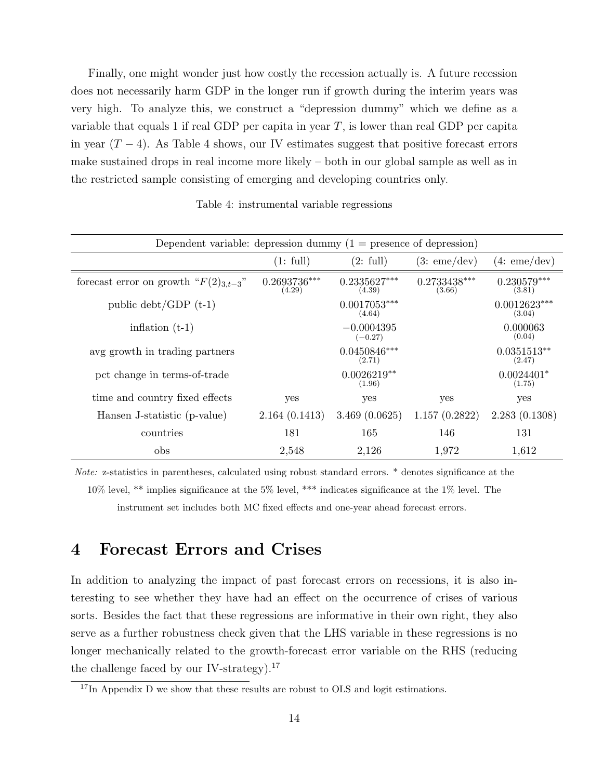Finally, one might wonder just how costly the recession actually is. A future recession does not necessarily harm GDP in the longer run if growth during the interim years was very high. To analyze this, we construct a "depression dummy" which we define as a variable that equals 1 if real GDP per capita in year  $T$ , is lower than real GDP per capita in year  $(T - 4)$ . As Table 4 shows, our IV estimates suggest that positive forecast errors make sustained drops in real income more likely – both in our global sample as well as in the restricted sample consisting of emerging and developing countries only.

Table 4: instrumental variable regressions

|                                             | Dependent variable: depression dummy $(1 =$ presence of depression) |                           |                          |                          |
|---------------------------------------------|---------------------------------------------------------------------|---------------------------|--------------------------|--------------------------|
|                                             | (1: full)                                                           | (2: full)                 | (3:eme/dev)              | (4:eme/dev)              |
| forecast error on growth " $F(2)_{3,t-3}$ " | $0.2693736***$<br>(4.29)                                            | $0.2335627***$<br>(4.39)  | $0.2733438***$<br>(3.66) | $0.230579***$<br>(3.81)  |
| public $\text{debt}/\text{GDP}$ (t-1)       |                                                                     | $0.0017053***$<br>(4.64)  |                          | $0.0012623***$<br>(3.04) |
| inflation $(t-1)$                           |                                                                     | $-0.0004395$<br>$(-0.27)$ |                          | 0.000063<br>(0.04)       |
| avg growth in trading partners              |                                                                     | $0.0450846***$<br>(2.71)  |                          | $0.0351513**$<br>(2.47)  |
| pct change in terms-of-trade                |                                                                     | $0.0026219**$<br>(1.96)   |                          | $0.0024401*$<br>(1.75)   |
| time and country fixed effects              | yes                                                                 | yes                       | yes                      | yes                      |
| Hansen J-statistic (p-value)                | 2.164(0.1413)                                                       | 3.469(0.0625)             | 1.157(0.2822)            | 2.283(0.1308)            |
| countries                                   | 181                                                                 | 165                       | 146                      | 131                      |
| obs                                         | 2,548                                                               | 2,126                     | 1,972                    | 1,612                    |

Note: z-statistics in parentheses, calculated using robust standard errors. \* denotes significance at the 10% level, \*\* implies significance at the 5% level, \*\*\* indicates significance at the 1% level. The instrument set includes both MC fixed effects and one-year ahead forecast errors.

## 4 Forecast Errors and Crises

In addition to analyzing the impact of past forecast errors on recessions, it is also interesting to see whether they have had an effect on the occurrence of crises of various sorts. Besides the fact that these regressions are informative in their own right, they also serve as a further robustness check given that the LHS variable in these regressions is no longer mechanically related to the growth-forecast error variable on the RHS (reducing the challenge faced by our IV-strategy).<sup>17</sup>

 $17$ In Appendix D we show that these results are robust to OLS and logit estimations.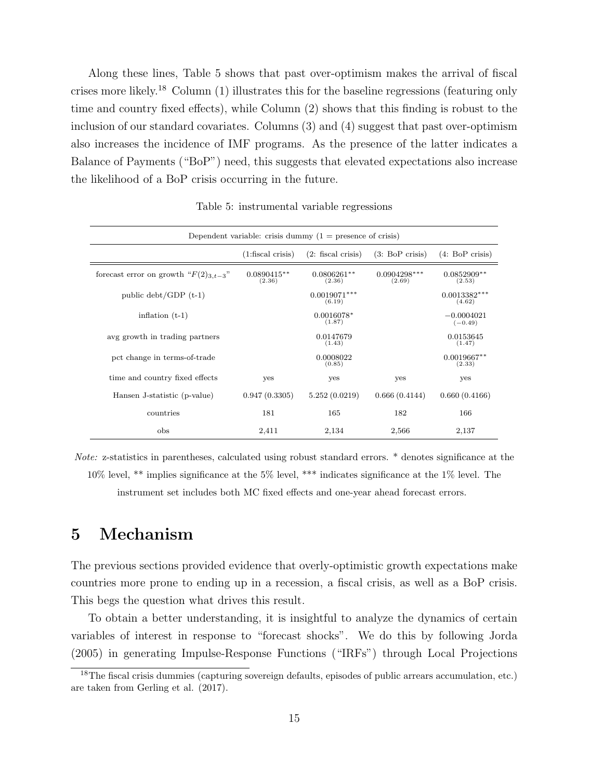Along these lines, Table 5 shows that past over-optimism makes the arrival of fiscal crises more likely.<sup>18</sup> Column (1) illustrates this for the baseline regressions (featuring only time and country fixed effects), while Column (2) shows that this finding is robust to the inclusion of our standard covariates. Columns (3) and (4) suggest that past over-optimism also increases the incidence of IMF programs. As the presence of the latter indicates a Balance of Payments ("BoP") need, this suggests that elevated expectations also increase the likelihood of a BoP crisis occurring in the future.

| Dependent variable: crisis dummy $(1 =$ presence of crisis) |                         |                          |                          |                           |
|-------------------------------------------------------------|-------------------------|--------------------------|--------------------------|---------------------------|
|                                                             | $(1:$ fiscal crisis)    | $(2:$ fiscal crisis)     | (3: BoP crisis)          | $(4.~BoP \text{ crisis})$ |
| forecast error on growth " $F(2)_{3,t-3}$ "                 | $0.0890415**$<br>(2.36) | $0.0806261**$<br>(2.36)  | $0.0904298***$<br>(2.69) | $0.0852909**$<br>(2.53)   |
| public $\text{debt}/\text{GDP (t-1)}$                       |                         | $0.0013382***$<br>(4.62) |                          |                           |
| inflation $(t-1)$                                           |                         | $0.0016078*$<br>(1.87)   |                          | $-0.0004021$<br>$(-0.49)$ |
| avg growth in trading partners                              |                         | 0.0147679<br>(1.43)      |                          | 0.0153645<br>(1.47)       |
| pct change in terms-of-trade                                |                         | 0.0008022<br>(0.85)      |                          | $0.0019667**$<br>(2.33)   |
| time and country fixed effects                              | yes                     | yes                      | yes                      | yes                       |
| Hansen J-statistic (p-value)                                | 0.947(0.3305)           | 5.252(0.0219)            | 0.666(0.4144)            | 0.660(0.4166)             |
| countries                                                   | 181                     | 165                      | 182                      | 166                       |
| obs                                                         | 2,411                   | 2,134                    | 2,566                    | 2,137                     |

Table 5: instrumental variable regressions

Note: z-statistics in parentheses, calculated using robust standard errors. \* denotes significance at the 10% level, \*\* implies significance at the 5% level, \*\*\* indicates significance at the 1% level. The instrument set includes both MC fixed effects and one-year ahead forecast errors.

## 5 Mechanism

The previous sections provided evidence that overly-optimistic growth expectations make countries more prone to ending up in a recession, a fiscal crisis, as well as a BoP crisis. This begs the question what drives this result.

To obtain a better understanding, it is insightful to analyze the dynamics of certain variables of interest in response to "forecast shocks". We do this by following Jorda (2005) in generating Impulse-Response Functions ("IRFs") through Local Projections

<sup>18</sup>The fiscal crisis dummies (capturing sovereign defaults, episodes of public arrears accumulation, etc.) are taken from Gerling et al. (2017).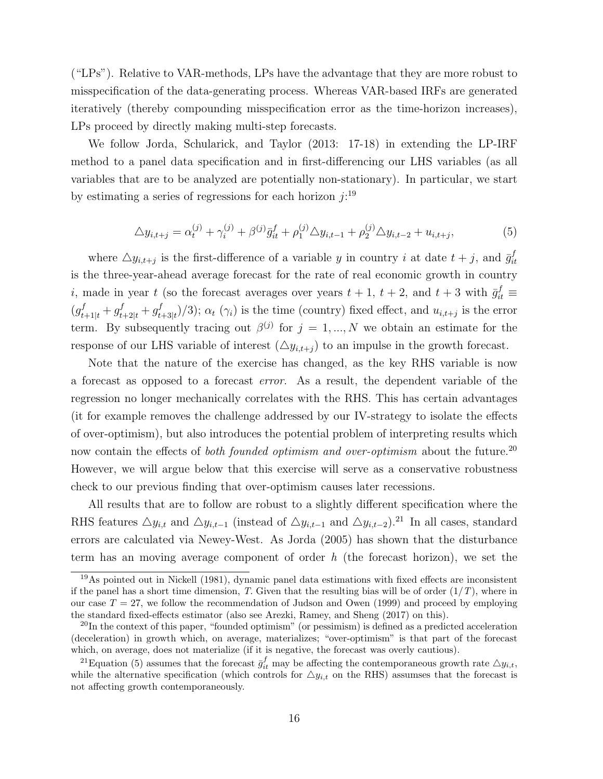("LPs"). Relative to VAR-methods, LPs have the advantage that they are more robust to misspecification of the data-generating process. Whereas VAR-based IRFs are generated iteratively (thereby compounding misspecification error as the time-horizon increases), LPs proceed by directly making multi-step forecasts.

We follow Jorda, Schularick, and Taylor (2013: 17-18) in extending the LP-IRF method to a panel data specification and in first-differencing our LHS variables (as all variables that are to be analyzed are potentially non-stationary). In particular, we start by estimating a series of regressions for each horizon  $j:$ <sup>19</sup>

$$
\Delta y_{i,t+j} = \alpha_t^{(j)} + \gamma_i^{(j)} + \beta^{(j)} \bar{g}_{it}^f + \rho_1^{(j)} \Delta y_{i,t-1} + \rho_2^{(j)} \Delta y_{i,t-2} + u_{i,t+j},
$$
\n(5)

where  $\triangle y_{i,t+j}$  is the first-difference of a variable y in country i at date  $t+j$ , and  $\bar{g}^f_{it}$ it is the three-year-ahead average forecast for the rate of real economic growth in country *i*, made in year t (so the forecast averages over years  $t + 1$ ,  $t + 2$ , and  $t + 3$  with  $\bar{g}^f_{it} \equiv$  $(g_{t+1|t}^f + g_{t+2|t}^f + g_t^f)$  $(t_{t+3|t})/3$ ;  $\alpha_t$  ( $\gamma_i$ ) is the time (country) fixed effect, and  $u_{i,t+j}$  is the error term. By subsequently tracing out  $\beta^{(j)}$  for  $j = 1, ..., N$  we obtain an estimate for the response of our LHS variable of interest  $(\Delta y_{i,t+j})$  to an impulse in the growth forecast.

Note that the nature of the exercise has changed, as the key RHS variable is now a forecast as opposed to a forecast error. As a result, the dependent variable of the regression no longer mechanically correlates with the RHS. This has certain advantages (it for example removes the challenge addressed by our IV-strategy to isolate the effects of over-optimism), but also introduces the potential problem of interpreting results which now contain the effects of both founded optimism and over-optimism about the future.<sup>20</sup> However, we will argue below that this exercise will serve as a conservative robustness check to our previous finding that over-optimism causes later recessions.

All results that are to follow are robust to a slightly different specification where the RHS features  $\Delta y_{i,t}$  and  $\Delta y_{i,t-1}$  (instead of  $\Delta y_{i,t-1}$  and  $\Delta y_{i,t-2}$ ).<sup>21</sup> In all cases, standard errors are calculated via Newey-West. As Jorda (2005) has shown that the disturbance term has an moving average component of order  $h$  (the forecast horizon), we set the

<sup>19</sup>As pointed out in Nickell (1981), dynamic panel data estimations with fixed effects are inconsistent if the panel has a short time dimension, T. Given that the resulting bias will be of order  $(1/T)$ , where in our case  $T = 27$ , we follow the recommendation of Judson and Owen (1999) and proceed by employing the standard fixed-effects estimator (also see Arezki, Ramey, and Sheng (2017) on this).

 $^{20}$ In the context of this paper, "founded optimism" (or pessimism) is defined as a predicted acceleration (deceleration) in growth which, on average, materializes; "over-optimism" is that part of the forecast which, on average, does not materialize (if it is negative, the forecast was overly cautious).

<sup>&</sup>lt;sup>21</sup>Equation (5) assumes that the forecast  $\bar{g}_{it}^f$  may be affecting the contemporaneous growth rate  $\triangle y_{i,t}$ , while the alternative specification (which controls for  $\Delta y_{i,t}$  on the RHS) assumses that the forecast is not affecting growth contemporaneously.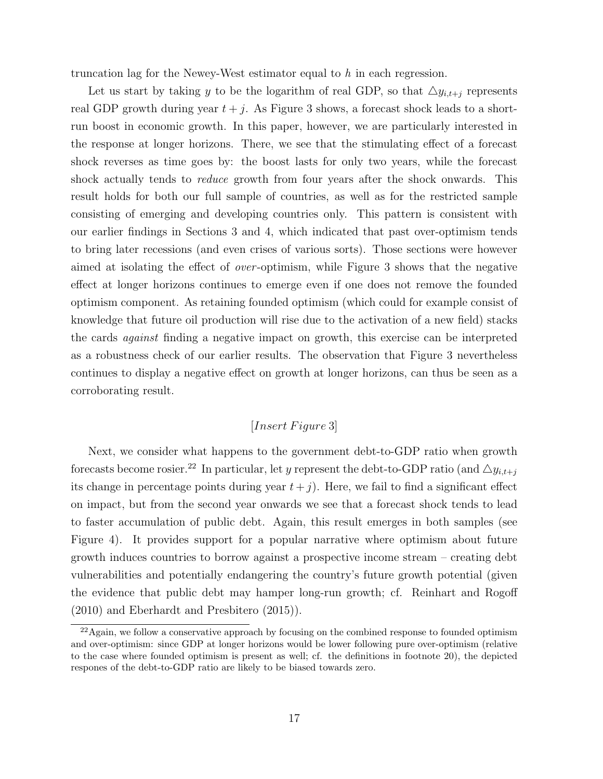truncation lag for the Newey-West estimator equal to h in each regression.

Let us start by taking y to be the logarithm of real GDP, so that  $\Delta y_{i,t+j}$  represents real GDP growth during year  $t + j$ . As Figure 3 shows, a forecast shock leads to a shortrun boost in economic growth. In this paper, however, we are particularly interested in the response at longer horizons. There, we see that the stimulating effect of a forecast shock reverses as time goes by: the boost lasts for only two years, while the forecast shock actually tends to *reduce* growth from four years after the shock onwards. This result holds for both our full sample of countries, as well as for the restricted sample consisting of emerging and developing countries only. This pattern is consistent with our earlier findings in Sections 3 and 4, which indicated that past over-optimism tends to bring later recessions (and even crises of various sorts). Those sections were however aimed at isolating the effect of over -optimism, while Figure 3 shows that the negative effect at longer horizons continues to emerge even if one does not remove the founded optimism component. As retaining founded optimism (which could for example consist of knowledge that future oil production will rise due to the activation of a new field) stacks the cards against finding a negative impact on growth, this exercise can be interpreted as a robustness check of our earlier results. The observation that Figure 3 nevertheless continues to display a negative effect on growth at longer horizons, can thus be seen as a corroborating result.

## $[Insert \, Figure \, 3]$

Next, we consider what happens to the government debt-to-GDP ratio when growth forecasts become rosier.<sup>22</sup> In particular, let y represent the debt-to-GDP ratio (and  $\Delta y_{i,t+j}$ its change in percentage points during year  $t + j$ . Here, we fail to find a significant effect on impact, but from the second year onwards we see that a forecast shock tends to lead to faster accumulation of public debt. Again, this result emerges in both samples (see Figure 4). It provides support for a popular narrative where optimism about future growth induces countries to borrow against a prospective income stream – creating debt vulnerabilities and potentially endangering the country's future growth potential (given the evidence that public debt may hamper long-run growth; cf. Reinhart and Rogoff (2010) and Eberhardt and Presbitero (2015)).

<sup>&</sup>lt;sup>22</sup>Again, we follow a conservative approach by focusing on the combined response to founded optimism and over-optimism: since GDP at longer horizons would be lower following pure over-optimism (relative to the case where founded optimism is present as well; cf. the definitions in footnote 20), the depicted respones of the debt-to-GDP ratio are likely to be biased towards zero.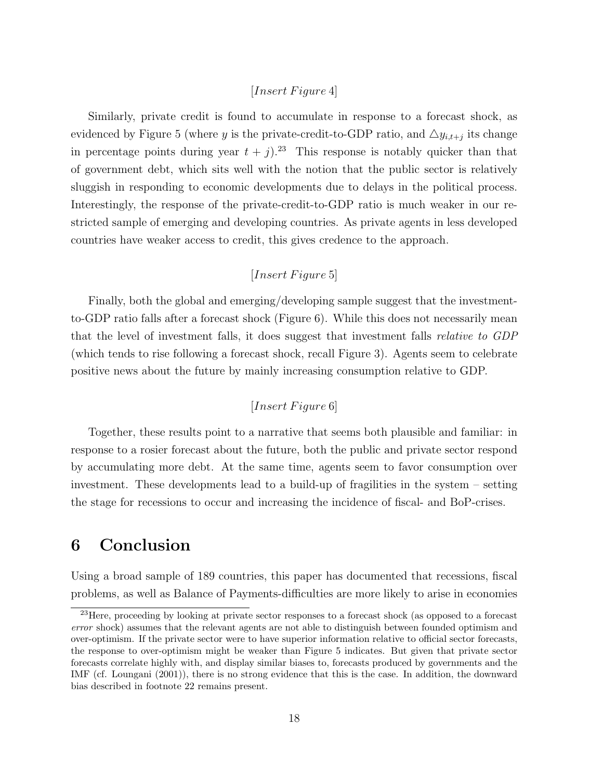#### $[Insert \, Figure \, 4]$

Similarly, private credit is found to accumulate in response to a forecast shock, as evidenced by Figure 5 (where y is the private-credit-to-GDP ratio, and  $\Delta y_{i,t+j}$  its change in percentage points during year  $t + j$ .<sup>23</sup> This response is notably quicker than that of government debt, which sits well with the notion that the public sector is relatively sluggish in responding to economic developments due to delays in the political process. Interestingly, the response of the private-credit-to-GDP ratio is much weaker in our restricted sample of emerging and developing countries. As private agents in less developed countries have weaker access to credit, this gives credence to the approach.

## $[Insert \, Figure \, 5]$

Finally, both the global and emerging/developing sample suggest that the investmentto-GDP ratio falls after a forecast shock (Figure 6). While this does not necessarily mean that the level of investment falls, it does suggest that investment falls relative to GDP (which tends to rise following a forecast shock, recall Figure 3). Agents seem to celebrate positive news about the future by mainly increasing consumption relative to GDP.

## $[Insert \, Figure \, 6]$

Together, these results point to a narrative that seems both plausible and familiar: in response to a rosier forecast about the future, both the public and private sector respond by accumulating more debt. At the same time, agents seem to favor consumption over investment. These developments lead to a build-up of fragilities in the system – setting the stage for recessions to occur and increasing the incidence of fiscal- and BoP-crises.

## 6 Conclusion

Using a broad sample of 189 countries, this paper has documented that recessions, fiscal problems, as well as Balance of Payments-difficulties are more likely to arise in economies

<sup>&</sup>lt;sup>23</sup>Here, proceeding by looking at private sector responses to a forecast shock (as opposed to a forecast error shock) assumes that the relevant agents are not able to distinguish between founded optimism and over-optimism. If the private sector were to have superior information relative to official sector forecasts, the response to over-optimism might be weaker than Figure 5 indicates. But given that private sector forecasts correlate highly with, and display similar biases to, forecasts produced by governments and the IMF (cf. Loungani (2001)), there is no strong evidence that this is the case. In addition, the downward bias described in footnote 22 remains present.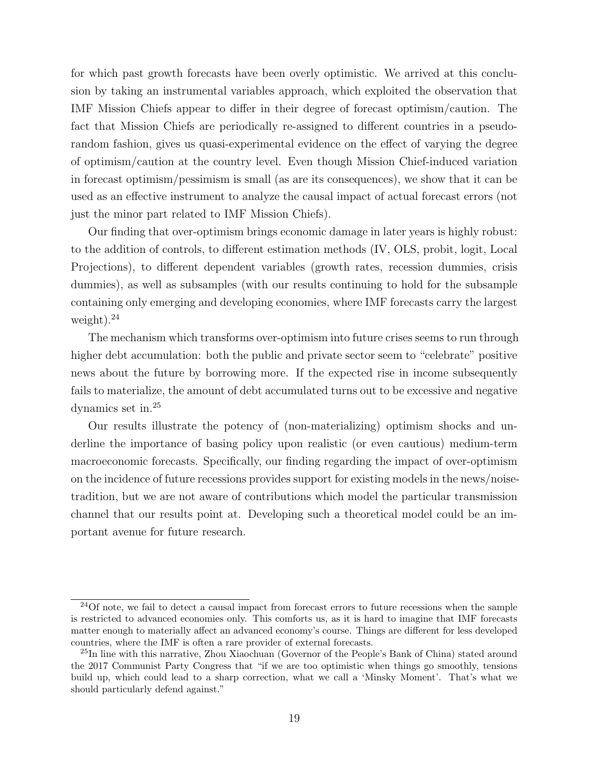for which past growth forecasts have been overly optimistic. We arrived at this conclusion by taking an instrumental variables approach, which exploited the observation that IMF Mission Chiefs appear to differ in their degree of forecast optimism/caution. The fact that Mission Chiefs are periodically re-assigned to different countries in a pseudorandom fashion, gives us quasi-experimental evidence on the effect of varying the degree of optimism/caution at the country level. Even though Mission Chief-induced variation in forecast optimism/pessimism is small (as are its consequences), we show that it can be used as an effective instrument to analyze the causal impact of actual forecast errors (not just the minor part related to IMF Mission Chiefs).

Our finding that over-optimism brings economic damage in later years is highly robust: to the addition of controls, to different estimation methods (IV, OLS, probit, logit, Local Projections), to different dependent variables (growth rates, recession dummies, crisis dummies), as well as subsamples (with our results continuing to hold for the subsample containing only emerging and developing economies, where IMF forecasts carry the largest weight).<sup>24</sup>

The mechanism which transforms over-optimism into future crises seems to run through higher debt accumulation: both the public and private sector seem to "celebrate" positive news about the future by borrowing more. If the expected rise in income subsequently fails to materialize, the amount of debt accumulated turns out to be excessive and negative dynamics set in.<sup>25</sup>

Our results illustrate the potency of (non-materializing) optimism shocks and underline the importance of basing policy upon realistic (or even cautious) medium-term macroeconomic forecasts. Specifically, our finding regarding the impact of over-optimism on the incidence of future recessions provides support for existing models in the news/noisetradition, but we are not aware of contributions which model the particular transmission channel that our results point at. Developing such a theoretical model could be an important avenue for future research.

 $24$ Of note, we fail to detect a causal impact from forecast errors to future recessions when the sample is restricted to advanced economies only. This comforts us, as it is hard to imagine that IMF forecasts matter enough to materially affect an advanced economy's course. Things are different for less developed countries, where the IMF is often a rare provider of external forecasts.

<sup>&</sup>lt;sup>25</sup>In line with this narrative, Zhou Xiaochuan (Governor of the People's Bank of China) stated around the 2017 Communist Party Congress that "if we are too optimistic when things go smoothly, tensions build up, which could lead to a sharp correction, what we call a 'Minsky Moment'. That's what we should particularly defend against."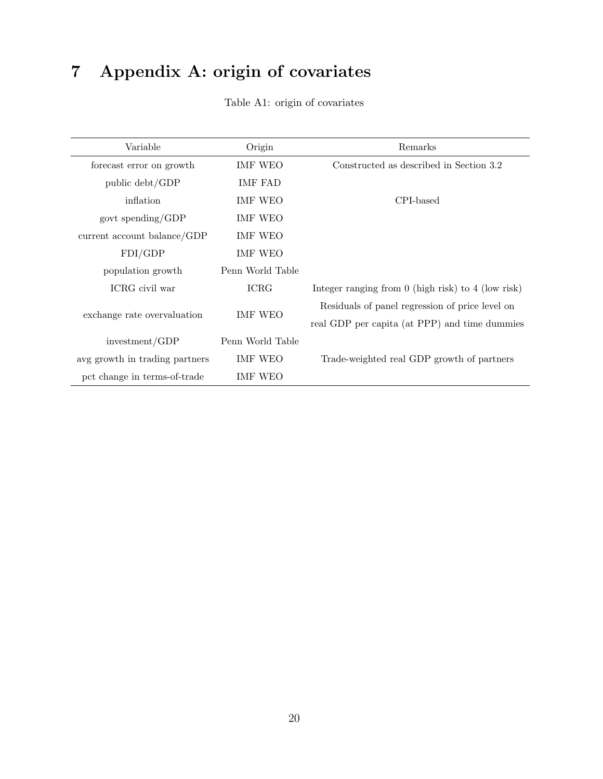# 7 Appendix A: origin of covariates

| Variable                       | Origin           | Remarks                                                |
|--------------------------------|------------------|--------------------------------------------------------|
| forecast error on growth       | IMF WEO          | Constructed as described in Section 3.2                |
| public debt/GDP                | <b>IMF FAD</b>   |                                                        |
| inflation                      | IMF WEO          | CPI-based                                              |
| govt spending/GDP              | IMF WEO          |                                                        |
| current account balance/GDP    | IMF WEO          |                                                        |
| FDI/GDP                        | IMF WEO          |                                                        |
| population growth              | Penn World Table |                                                        |
| ICRG civil war                 | <b>ICRG</b>      | Integer ranging from $0$ (high risk) to $4$ (low risk) |
|                                |                  | Residuals of panel regression of price level on        |
| exchange rate overvaluation    | <b>IMF WEO</b>   | real GDP per capita (at PPP) and time dummies          |
| investment/GDP                 | Penn World Table |                                                        |
| avg growth in trading partners | IMF WEO          | Trade-weighted real GDP growth of partners             |
| pct change in terms-of-trade   | IMF WEO          |                                                        |

Table A1: origin of covariates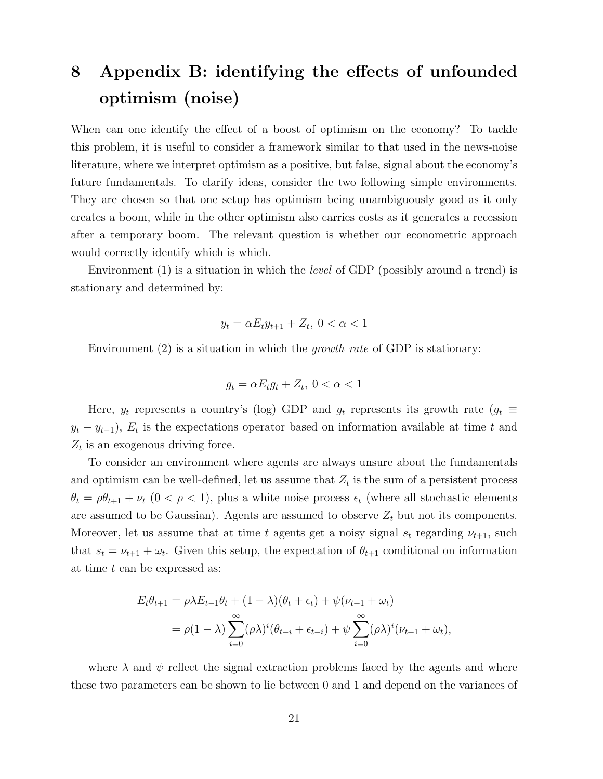# 8 Appendix B: identifying the effects of unfounded optimism (noise)

When can one identify the effect of a boost of optimism on the economy? To tackle this problem, it is useful to consider a framework similar to that used in the news-noise literature, where we interpret optimism as a positive, but false, signal about the economy's future fundamentals. To clarify ideas, consider the two following simple environments. They are chosen so that one setup has optimism being unambiguously good as it only creates a boom, while in the other optimism also carries costs as it generates a recession after a temporary boom. The relevant question is whether our econometric approach would correctly identify which is which.

Environment (1) is a situation in which the *level* of GDP (possibly around a trend) is stationary and determined by:

$$
y_t = \alpha E_t y_{t+1} + Z_t, \ 0 < \alpha < 1
$$

Environment  $(2)$  is a situation in which the *growth rate* of GDP is stationary:

$$
g_t = \alpha E_t g_t + Z_t, \ 0 < \alpha < 1
$$

Here,  $y_t$  represents a country's (log) GDP and  $g_t$  represents its growth rate ( $g_t \equiv$  $y_t - y_{t-1}$ ,  $E_t$  is the expectations operator based on information available at time t and  $Z_t$  is an exogenous driving force.

To consider an environment where agents are always unsure about the fundamentals and optimism can be well-defined, let us assume that  $Z_t$  is the sum of a persistent process  $\theta_t = \rho \theta_{t+1} + \nu_t$  (0 <  $\rho$  < 1), plus a white noise process  $\epsilon_t$  (where all stochastic elements are assumed to be Gaussian). Agents are assumed to observe  $Z_t$  but not its components. Moreover, let us assume that at time t agents get a noisy signal  $s_t$  regarding  $\nu_{t+1}$ , such that  $s_t = \nu_{t+1} + \omega_t$ . Given this setup, the expectation of  $\theta_{t+1}$  conditional on information at time t can be expressed as:

$$
E_t \theta_{t+1} = \rho \lambda E_{t-1} \theta_t + (1 - \lambda)(\theta_t + \epsilon_t) + \psi(\nu_{t+1} + \omega_t)
$$
  
=  $\rho(1 - \lambda) \sum_{i=0}^{\infty} (\rho \lambda)^i (\theta_{t-i} + \epsilon_{t-i}) + \psi \sum_{i=0}^{\infty} (\rho \lambda)^i (\nu_{t+1} + \omega_t),$ 

where  $\lambda$  and  $\psi$  reflect the signal extraction problems faced by the agents and where these two parameters can be shown to lie between 0 and 1 and depend on the variances of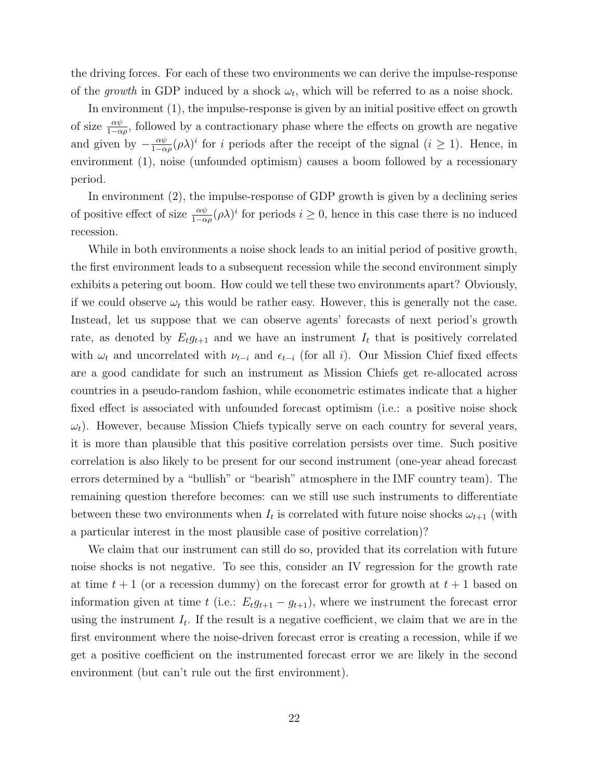the driving forces. For each of these two environments we can derive the impulse-response of the growth in GDP induced by a shock  $\omega_t$ , which will be referred to as a noise shock.

In environment (1), the impulse-response is given by an initial positive effect on growth of size  $\frac{\alpha\psi}{1-\alpha\rho}$ , followed by a contractionary phase where the effects on growth are negative and given by  $-\frac{\alpha\psi}{1-\alpha}$  $\frac{\alpha\psi}{1-\alpha\rho}(\rho\lambda)^i$  for i periods after the receipt of the signal  $(i \geq 1)$ . Hence, in environment (1), noise (unfounded optimism) causes a boom followed by a recessionary period.

In environment (2), the impulse-response of GDP growth is given by a declining series of positive effect of size  $\frac{\alpha\psi}{1-\alpha\rho}(\rho\lambda)^i$  for periods  $i\geq 0$ , hence in this case there is no induced recession.

While in both environments a noise shock leads to an initial period of positive growth, the first environment leads to a subsequent recession while the second environment simply exhibits a petering out boom. How could we tell these two environments apart? Obviously, if we could observe  $\omega_t$  this would be rather easy. However, this is generally not the case. Instead, let us suppose that we can observe agents' forecasts of next period's growth rate, as denoted by  $E_t g_{t+1}$  and we have an instrument  $I_t$  that is positively correlated with  $\omega_t$  and uncorrelated with  $\nu_{t-i}$  and  $\epsilon_{t-i}$  (for all i). Our Mission Chief fixed effects are a good candidate for such an instrument as Mission Chiefs get re-allocated across countries in a pseudo-random fashion, while econometric estimates indicate that a higher fixed effect is associated with unfounded forecast optimism (i.e.: a positive noise shock  $\omega_t$ ). However, because Mission Chiefs typically serve on each country for several years, it is more than plausible that this positive correlation persists over time. Such positive correlation is also likely to be present for our second instrument (one-year ahead forecast errors determined by a "bullish" or "bearish" atmosphere in the IMF country team). The remaining question therefore becomes: can we still use such instruments to differentiate between these two environments when  $I_t$  is correlated with future noise shocks  $\omega_{t+1}$  (with a particular interest in the most plausible case of positive correlation)?

We claim that our instrument can still do so, provided that its correlation with future noise shocks is not negative. To see this, consider an IV regression for the growth rate at time  $t + 1$  (or a recession dummy) on the forecast error for growth at  $t + 1$  based on information given at time t (i.e.:  $E_t g_{t+1} - g_{t+1}$ ), where we instrument the forecast error using the instrument  $I_t$ . If the result is a negative coefficient, we claim that we are in the first environment where the noise-driven forecast error is creating a recession, while if we get a positive coefficient on the instrumented forecast error we are likely in the second environment (but can't rule out the first environment).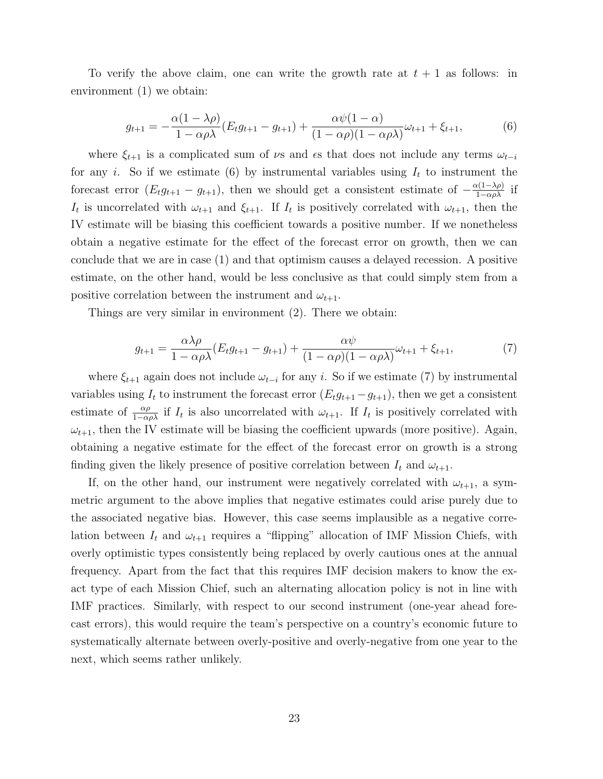To verify the above claim, one can write the growth rate at  $t + 1$  as follows: in environment (1) we obtain:

$$
g_{t+1} = -\frac{\alpha(1 - \lambda \rho)}{1 - \alpha \rho \lambda} (E_t g_{t+1} - g_{t+1}) + \frac{\alpha \psi(1 - \alpha)}{(1 - \alpha \rho)(1 - \alpha \rho \lambda)} \omega_{t+1} + \xi_{t+1},
$$
(6)

where  $\xi_{t+1}$  is a complicated sum of  $\nu$ s and  $\epsilon$ s that does not include any terms  $\omega_{t-i}$ for any i. So if we estimate (6) by instrumental variables using  $I_t$  to instrument the forecast error  $(E_t g_{t+1} - g_{t+1})$ , then we should get a consistent estimate of  $-\frac{\alpha(1-\lambda \rho)}{1-\alpha \rho \lambda}$  if  $I_t$  is uncorrelated with  $\omega_{t+1}$  and  $\xi_{t+1}$ . If  $I_t$  is positively correlated with  $\omega_{t+1}$ , then the IV estimate will be biasing this coefficient towards a positive number. If we nonetheless obtain a negative estimate for the effect of the forecast error on growth, then we can conclude that we are in case (1) and that optimism causes a delayed recession. A positive estimate, on the other hand, would be less conclusive as that could simply stem from a positive correlation between the instrument and  $\omega_{t+1}$ .

Things are very similar in environment (2). There we obtain:

$$
g_{t+1} = \frac{\alpha \lambda \rho}{1 - \alpha \rho \lambda} (E_t g_{t+1} - g_{t+1}) + \frac{\alpha \psi}{(1 - \alpha \rho)(1 - \alpha \rho \lambda)} \omega_{t+1} + \xi_{t+1},\tag{7}
$$

where  $\xi_{t+1}$  again does not include  $\omega_{t-i}$  for any i. So if we estimate (7) by instrumental variables using  $I_t$  to instrument the forecast error  $(E_t g_{t+1} - g_{t+1})$ , then we get a consistent estimate of  $\frac{\alpha\rho}{1-\alpha\rho\lambda}$  if  $I_t$  is also uncorrelated with  $\omega_{t+1}$ . If  $I_t$  is positively correlated with  $\omega_{t+1}$ , then the IV estimate will be biasing the coefficient upwards (more positive). Again, obtaining a negative estimate for the effect of the forecast error on growth is a strong finding given the likely presence of positive correlation between  $I_t$  and  $\omega_{t+1}$ .

If, on the other hand, our instrument were negatively correlated with  $\omega_{t+1}$ , a symmetric argument to the above implies that negative estimates could arise purely due to the associated negative bias. However, this case seems implausible as a negative correlation between  $I_t$  and  $\omega_{t+1}$  requires a "flipping" allocation of IMF Mission Chiefs, with overly optimistic types consistently being replaced by overly cautious ones at the annual frequency. Apart from the fact that this requires IMF decision makers to know the exact type of each Mission Chief, such an alternating allocation policy is not in line with IMF practices. Similarly, with respect to our second instrument (one-year ahead forecast errors), this would require the team's perspective on a country's economic future to systematically alternate between overly-positive and overly-negative from one year to the next, which seems rather unlikely.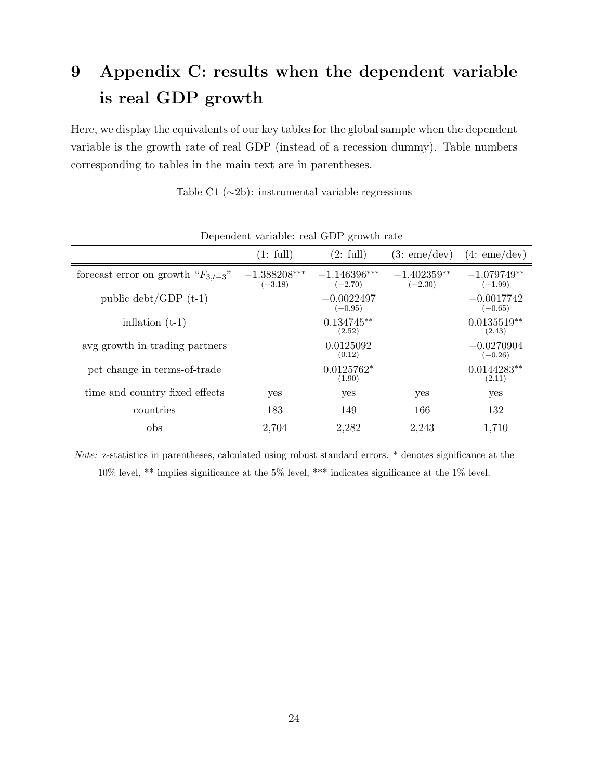# 9 Appendix C: results when the dependent variable is real GDP growth

Here, we display the equivalents of our key tables for the global sample when the dependent variable is the growth rate of real GDP (instead of a recession dummy). Table numbers corresponding to tables in the main text are in parentheses.

| Dependent variable: real GDP growth rate |                             |                             |                            |                            |
|------------------------------------------|-----------------------------|-----------------------------|----------------------------|----------------------------|
|                                          | (1: full)                   | (2: full)                   | (3:eme/dev)                | (4:eme/dev)                |
| forecast error on growth " $F_{3,t-3}$ " | $-1.388208***$<br>$(-3.18)$ | $-1.146396***$<br>$(-2.70)$ | $-1.402359**$<br>$(-2.30)$ | $-1.079749**$<br>$(-1.99)$ |
| public $\text{debt}/\text{GDP (t-1)}$    |                             | $-0.0022497$<br>$(-0.95)$   |                            | $-0.0017742$<br>$(-0.65)$  |
| inflation $(t-1)$                        |                             | $0.134745**$<br>(2.52)      |                            | $0.0135519**$<br>(2.43)    |
| avg growth in trading partners           |                             | 0.0125092<br>(0.12)         |                            | $-0.0270904$<br>$(-0.26)$  |
| pct change in terms-of-trade             |                             | $0.0125762*$<br>(1.90)      |                            | $0.0144283**$<br>(2.11)    |
| time and country fixed effects           | yes                         | yes                         | yes                        | yes                        |
| countries                                | 183                         | 149                         | 166                        | 132                        |
| obs                                      | 2,704                       | 2,282                       | 2,243                      | 1,710                      |

Table C1 (∼2b): instrumental variable regressions

Note: z-statistics in parentheses, calculated using robust standard errors. \* denotes significance at the 10% level, \*\* implies significance at the 5% level, \*\*\* indicates significance at the 1% level.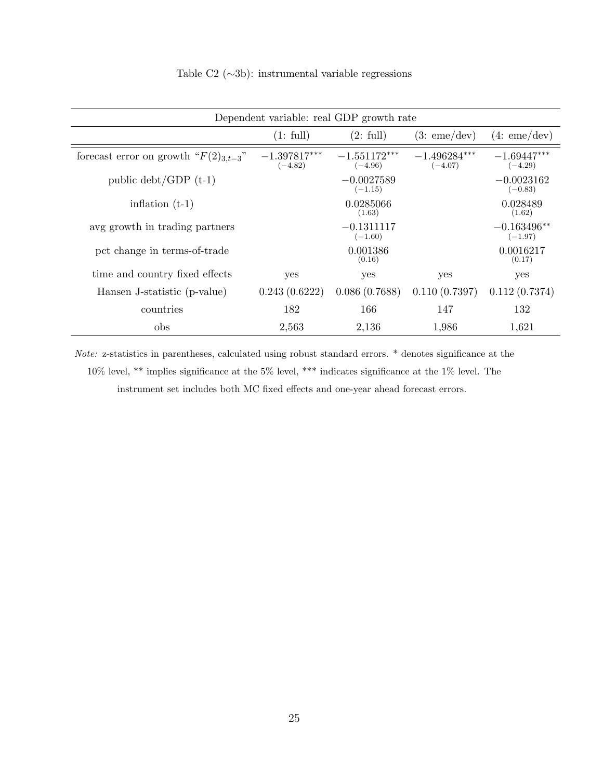| Dependent variable: real GDP growth rate             |                             |                             |                             |                            |  |  |
|------------------------------------------------------|-----------------------------|-----------------------------|-----------------------------|----------------------------|--|--|
| (1: full)<br>(2: full)<br>(4:eme/dev)<br>(3:eme/dev) |                             |                             |                             |                            |  |  |
| forecast error on growth " $F(2)_{3,t-3}$ "          | $-1.397817***$<br>$(-4.82)$ | $-1.551172***$<br>$(-4.96)$ | $-1.496284***$<br>$(-4.07)$ | $-1.69447***$<br>$(-4.29)$ |  |  |
| public $\text{debt}/\text{GDP}$ (t-1)                |                             | $-0.0027589$<br>$(-1.15)$   |                             | $-0.0023162$<br>$(-0.83)$  |  |  |
| inflation $(t-1)$                                    |                             | 0.0285066<br>(1.63)         |                             | 0.028489<br>(1.62)         |  |  |
| avg growth in trading partners                       |                             | $-0.1311117$<br>$(-1.60)$   |                             | $-0.163496**$<br>$(-1.97)$ |  |  |
| pct change in terms-of-trade                         |                             | 0.001386<br>(0.16)          |                             | 0.0016217<br>(0.17)        |  |  |
| time and country fixed effects                       | yes                         | yes                         | yes                         | yes                        |  |  |
| Hansen J-statistic (p-value)                         | 0.243(0.6222)               | 0.086(0.7688)               | 0.110(0.7397)               | 0.112(0.7374)              |  |  |
| countries                                            | 182                         | 166                         | 147                         | 132                        |  |  |
| obs                                                  | 2,563                       | 2,136                       | 1,986                       | 1,621                      |  |  |

Table C2 (∼3b): instrumental variable regressions

Note: z-statistics in parentheses, calculated using robust standard errors. \* denotes significance at the 10% level, \*\* implies significance at the 5% level, \*\*\* indicates significance at the 1% level. The instrument set includes both MC fixed effects and one-year ahead forecast errors.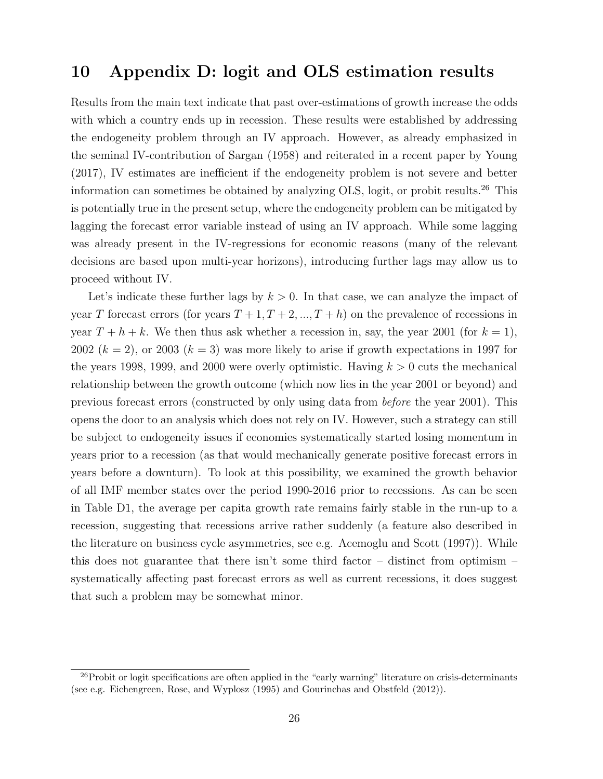## 10 Appendix D: logit and OLS estimation results

Results from the main text indicate that past over-estimations of growth increase the odds with which a country ends up in recession. These results were established by addressing the endogeneity problem through an IV approach. However, as already emphasized in the seminal IV-contribution of Sargan (1958) and reiterated in a recent paper by Young (2017), IV estimates are inefficient if the endogeneity problem is not severe and better information can sometimes be obtained by analyzing OLS, logit, or probit results.<sup>26</sup> This is potentially true in the present setup, where the endogeneity problem can be mitigated by lagging the forecast error variable instead of using an IV approach. While some lagging was already present in the IV-regressions for economic reasons (many of the relevant decisions are based upon multi-year horizons), introducing further lags may allow us to proceed without IV.

Let's indicate these further lags by  $k > 0$ . In that case, we can analyze the impact of year T forecast errors (for years  $T + 1, T + 2, ..., T + h$ ) on the prevalence of recessions in year  $T + h + k$ . We then thus ask whether a recession in, say, the year 2001 (for  $k = 1$ ), 2002  $(k = 2)$ , or 2003  $(k = 3)$  was more likely to arise if growth expectations in 1997 for the years 1998, 1999, and 2000 were overly optimistic. Having  $k > 0$  cuts the mechanical relationship between the growth outcome (which now lies in the year 2001 or beyond) and previous forecast errors (constructed by only using data from before the year 2001). This opens the door to an analysis which does not rely on IV. However, such a strategy can still be subject to endogeneity issues if economies systematically started losing momentum in years prior to a recession (as that would mechanically generate positive forecast errors in years before a downturn). To look at this possibility, we examined the growth behavior of all IMF member states over the period 1990-2016 prior to recessions. As can be seen in Table D1, the average per capita growth rate remains fairly stable in the run-up to a recession, suggesting that recessions arrive rather suddenly (a feature also described in the literature on business cycle asymmetries, see e.g. Acemoglu and Scott (1997)). While this does not guarantee that there isn't some third factor – distinct from optimism – systematically affecting past forecast errors as well as current recessions, it does suggest that such a problem may be somewhat minor.

 $^{26}$ Probit or logit specifications are often applied in the "early warning" literature on crisis-determinants (see e.g. Eichengreen, Rose, and Wyplosz (1995) and Gourinchas and Obstfeld (2012)).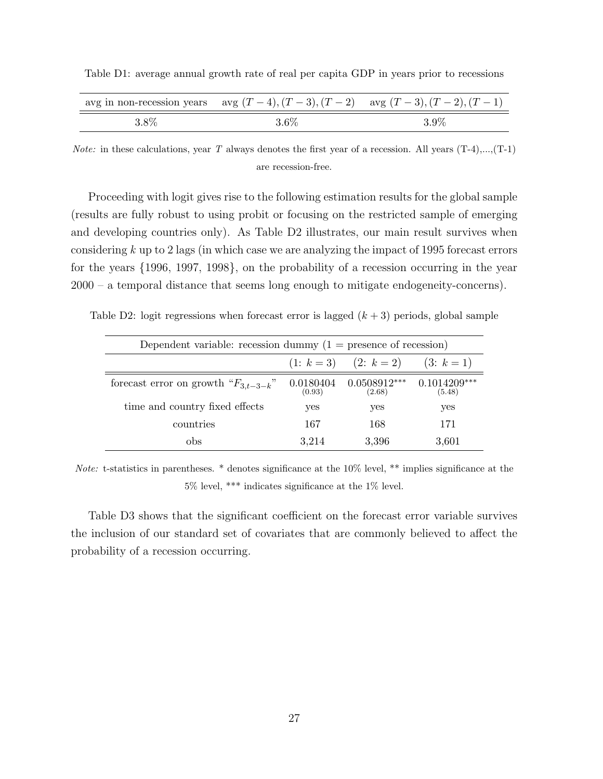Table D1: average annual growth rate of real per capita GDP in years prior to recessions

| avg in non-recession years avg $(T-4)$ , $(T-3)$ , $(T-2)$ avg $(T-3)$ , $(T-2)$ , $(T-1)$ |         |
|--------------------------------------------------------------------------------------------|---------|
| 3.6%                                                                                       | $3.9\%$ |

*Note:* in these calculations, year T always denotes the first year of a recession. All years  $(T-4)$ ,..., $(T-1)$ are recession-free.

Proceeding with logit gives rise to the following estimation results for the global sample (results are fully robust to using probit or focusing on the restricted sample of emerging and developing countries only). As Table D2 illustrates, our main result survives when considering k up to 2 lags (in which case we are analyzing the impact of 1995 forecast errors for the years {1996, 1997, 1998}, on the probability of a recession occurring in the year 2000 – a temporal distance that seems long enough to mitigate endogeneity-concerns).

Table D2: logit regressions when forecast error is lagged  $(k+3)$  periods, global sample

| Dependent variable: recession dummy $(1 =$ presence of recession) |                     |                          |                          |  |  |  |
|-------------------------------------------------------------------|---------------------|--------------------------|--------------------------|--|--|--|
| $(1: k = 3)$ $(2: k = 2)$<br>$(3: k = 1)$                         |                     |                          |                          |  |  |  |
| forecast error on growth " $F_{3,t-3-k}$ "                        | 0.0180404<br>(0.93) | $0.0508912***$<br>(2.68) | $0.1014209***$<br>(5.48) |  |  |  |
| time and country fixed effects                                    | yes                 | yes                      | yes                      |  |  |  |
| countries                                                         | 167                 | 168                      | 171                      |  |  |  |
| obs                                                               | 3.214               | 3,396                    | 3.601                    |  |  |  |

Note: t-statistics in parentheses. \* denotes significance at the 10% level, \*\* implies significance at the 5% level, \*\*\* indicates significance at the 1% level.

Table D3 shows that the significant coefficient on the forecast error variable survives the inclusion of our standard set of covariates that are commonly believed to affect the probability of a recession occurring.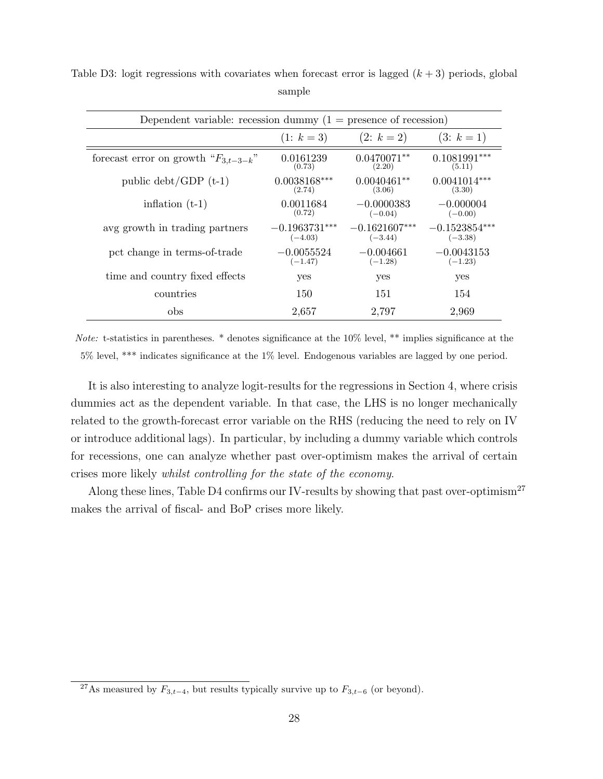| Dependent variable: recession dummy $(1 =$ presence of recession) |                              |                              |                              |
|-------------------------------------------------------------------|------------------------------|------------------------------|------------------------------|
|                                                                   | $(1: k = 3)$                 | $(2: k = 2)$                 | $(3: k = 1)$                 |
| forecast error on growth " $F_{3,t-3-k}$ "                        | 0.0161239<br>(0.73)          | $0.0470071**$<br>(2.20)      | $0.1081991***$<br>(5.11)     |
| public $\text{debt}/\text{GDP (t-1)}$                             | $0.0038168***$<br>(2.74)     | $0.0040461**$<br>(3.06)      | $0.0041014***$<br>(3.30)     |
| inflation $(t-1)$                                                 | 0.0011684<br>(0.72)          | $-0.0000383$<br>$(-0.04)$    | $-0.000004$<br>$(-0.00)$     |
| avg growth in trading partners                                    | $-0.1963731***$<br>$(-4.03)$ | $-0.1621607***$<br>$(-3.44)$ | $-0.1523854***$<br>$(-3.38)$ |
| pct change in terms-of-trade                                      | $-0.0055524$<br>$(-1.47)$    | $-0.004661$<br>$(-1.28)$     | $-0.0043153$<br>$(-1.23)$    |
| time and country fixed effects                                    | yes                          | yes                          | yes                          |
| countries                                                         | 150                          | 151                          | 154                          |
| obs                                                               | 2,657                        | 2,797                        | 2,969                        |

Table D3: logit regressions with covariates when forecast error is lagged  $(k+3)$  periods, global sample

Note: t-statistics in parentheses. \* denotes significance at the 10% level, \*\* implies significance at the 5% level, \*\*\* indicates significance at the 1% level. Endogenous variables are lagged by one period.

It is also interesting to analyze logit-results for the regressions in Section 4, where crisis dummies act as the dependent variable. In that case, the LHS is no longer mechanically related to the growth-forecast error variable on the RHS (reducing the need to rely on IV or introduce additional lags). In particular, by including a dummy variable which controls for recessions, one can analyze whether past over-optimism makes the arrival of certain crises more likely whilst controlling for the state of the economy.

Along these lines, Table D4 confirms our IV-results by showing that past over-optimism<sup>27</sup> makes the arrival of fiscal- and BoP crises more likely.

<sup>&</sup>lt;sup>27</sup>As measured by  $F_{3,t-4}$ , but results typically survive up to  $F_{3,t-6}$  (or beyond).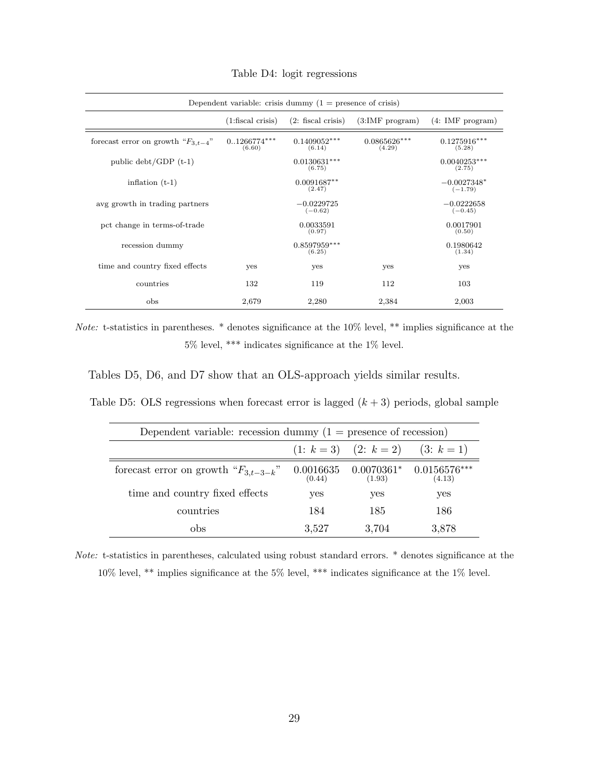| Dependent variable: crisis dummy $(1 =$ presence of crisis) |                            |                           |                          |                            |
|-------------------------------------------------------------|----------------------------|---------------------------|--------------------------|----------------------------|
|                                                             | $(1:\text{fiscal crisis})$ | $(2:$ fiscal crisis)      | (3:IMF program)          | (4: IMF program)           |
| forecast error on growth " $F_{3,t-4}$ "                    | $0.1266774***$<br>(6.60)   | $0.1409052***$<br>(6.14)  | $0.0865626***$<br>(4.29) | $0.1275916***$<br>(5.28)   |
| public $\text{debt}/\text{GDP}$ (t-1)                       |                            | $0.0130631***$<br>(6.75)  |                          | $0.0040253***$<br>(2.75)   |
| inflation $(t-1)$                                           |                            | $0.0091687**$<br>(2.47)   |                          | $-0.0027348*$<br>$(-1.79)$ |
| avg growth in trading partners                              |                            | $-0.0229725$<br>$(-0.62)$ |                          | $-0.0222658$<br>$(-0.45)$  |
| pct change in terms-of-trade                                |                            | 0.0033591<br>(0.97)       |                          | 0.0017901<br>(0.50)        |
| recession dummy                                             |                            | $0.8597959***$<br>(6.25)  |                          | 0.1980642<br>(1.34)        |
| time and country fixed effects                              | yes                        | yes                       | yes                      | yes                        |
| countries                                                   | 132                        | 119                       | 112                      | 103                        |
| obs                                                         | 2,679                      | 2,280                     | 2,384                    | 2,003                      |

Table D4: logit regressions

Note: t-statistics in parentheses. \* denotes significance at the 10% level, \*\* implies significance at the 5% level, \*\*\* indicates significance at the 1% level.

Tables D5, D6, and D7 show that an OLS-approach yields similar results.

Table D5: OLS regressions when forecast error is lagged  $(k+3)$  periods, global sample

| Dependent variable: recession dummy $(1 =$ presence of recession) |                     |                           |                          |
|-------------------------------------------------------------------|---------------------|---------------------------|--------------------------|
|                                                                   |                     | $(1: k = 3)$ $(2: k = 2)$ | $(3: k = 1)$             |
| forecast error on growth " $F_{3,t-3-k}$ "                        | 0.0016635<br>(0.44) | $0.0070361*$<br>(1.93)    | $0.0156576***$<br>(4.13) |
| time and country fixed effects                                    | yes                 | yes                       | yes                      |
| countries                                                         | 184                 | 185                       | 186                      |
| obs                                                               | 3,527               | 3,704                     | 3.878                    |

Note: t-statistics in parentheses, calculated using robust standard errors. \* denotes significance at the 10% level, \*\* implies significance at the 5% level, \*\*\* indicates significance at the 1% level.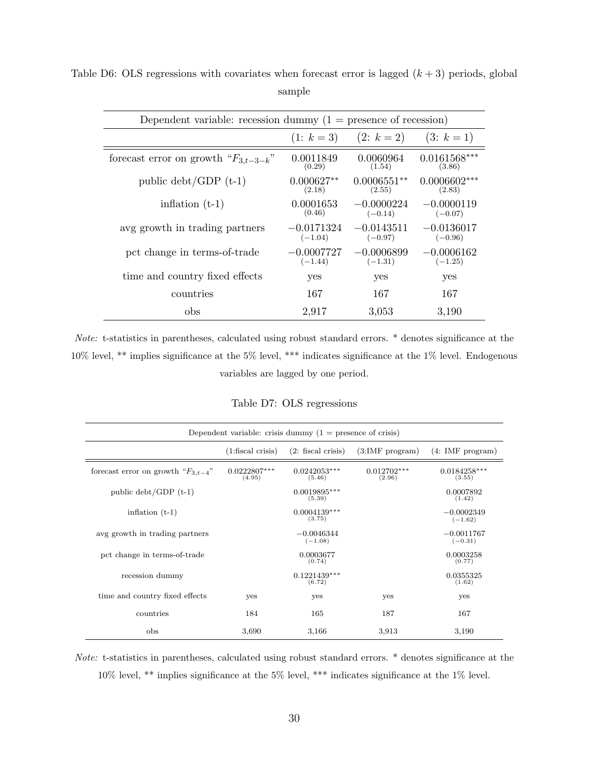| Dependent variable: recession dummy $(1 =$ presence of recession) |                           |                           |                           |
|-------------------------------------------------------------------|---------------------------|---------------------------|---------------------------|
|                                                                   | $(1: k = 3)$              | $(2: k = 2)$              | $(3: k = 1)$              |
| forecast error on growth " $F_{3,t-3-k}$ "                        | 0.0011849<br>(0.29)       | 0.0060964<br>(1.54)       | $0.0161568***$<br>(3.86)  |
| public $\text{debt}/\text{GDP}$ (t-1)                             | $0.000627**$<br>(2.18)    | $0.0006551**$<br>(2.55)   | $0.0006602***$<br>(2.83)  |
| inflation $(t-1)$                                                 | 0.0001653<br>(0.46)       | $-0.0000224$<br>$(-0.14)$ | $-0.0000119$<br>$(-0.07)$ |
| avg growth in trading partners                                    | $-0.0171324$<br>$(-1.04)$ | $-0.0143511$<br>$(-0.97)$ | $-0.0136017$<br>$(-0.96)$ |
| pct change in terms-of-trade                                      | $-0.0007727$<br>$(-1.44)$ | $-0.0006899$<br>$(-1.31)$ | $-0.0006162$<br>$(-1.25)$ |
| time and country fixed effects                                    | yes                       | yes                       | yes                       |
| countries                                                         | 167                       | 167                       | 167                       |
| obs                                                               | 2,917                     | 3,053                     | 3,190                     |

Table D6: OLS regressions with covariates when forecast error is lagged  $(k+3)$  periods, global sample

Note: t-statistics in parentheses, calculated using robust standard errors. \* denotes significance at the 10% level, \*\* implies significance at the 5% level, \*\*\* indicates significance at the 1% level. Endogenous variables are lagged by one period.

Table D7: OLS regressions

| Dependent variable: crisis dummy $(1 =$ presence of crisis) |                            |                           |                         |                           |
|-------------------------------------------------------------|----------------------------|---------------------------|-------------------------|---------------------------|
|                                                             | $(1:\text{fiscal crisis})$ | $(2:$ fiscal crisis)      | (3:IMF program)         | (4: IMF program)          |
| forecast error on growth " $F_{3,t-4}$ "                    | $0.0222807***$<br>(4.95)   | $0.0242053***$<br>(5.46)  | $0.012702***$<br>(2.96) | $0.0184258***$<br>(3.55)  |
| public $\text{debt}/\text{GDP}$ (t-1)                       |                            | $0.0019895***$<br>(5.39)  |                         | 0.0007892<br>(1.42)       |
| inflation $(t-1)$                                           |                            | $0.0004139***$<br>(3.75)  |                         | $-0.0002349$<br>$(-1.62)$ |
| avg growth in trading partners                              |                            | $-0.0046344$<br>$(-1.08)$ |                         | $-0.0011767$<br>$(-0.31)$ |
| pct change in terms-of-trade                                |                            | 0.0003677<br>(0.74)       |                         | 0.0003258<br>(0.77)       |
| recession dummy                                             |                            | $0.1221439***$<br>(6.72)  |                         | 0.0355325<br>(1.62)       |
| time and country fixed effects                              | yes                        | yes                       | yes                     | yes                       |
| countries                                                   | 184                        | 165                       | 187                     | 167                       |
| obs                                                         | 3,690                      | 3,166                     | 3,913                   | 3,190                     |

Note: t-statistics in parentheses, calculated using robust standard errors. \* denotes significance at the  $10\%$  level, \*\* implies significance at the 5% level, \*\*\* indicates significance at the 1% level.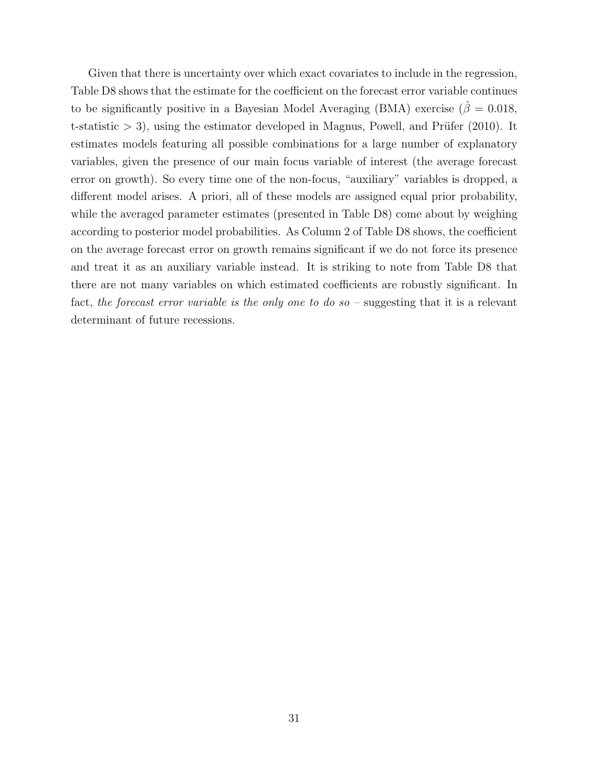Given that there is uncertainty over which exact covariates to include in the regression, Table D8 shows that the estimate for the coefficient on the forecast error variable continues to be significantly positive in a Bayesian Model Averaging (BMA) exercise ( $\hat{\beta} = 0.018$ , t-statistic  $> 3$ , using the estimator developed in Magnus, Powell, and Prüfer (2010). It estimates models featuring all possible combinations for a large number of explanatory variables, given the presence of our main focus variable of interest (the average forecast error on growth). So every time one of the non-focus, "auxiliary" variables is dropped, a different model arises. A priori, all of these models are assigned equal prior probability, while the averaged parameter estimates (presented in Table D8) come about by weighing according to posterior model probabilities. As Column 2 of Table D8 shows, the coefficient on the average forecast error on growth remains significant if we do not force its presence and treat it as an auxiliary variable instead. It is striking to note from Table D8 that there are not many variables on which estimated coefficients are robustly significant. In fact, the forecast error variable is the only one to do so  $-$  suggesting that it is a relevant determinant of future recessions.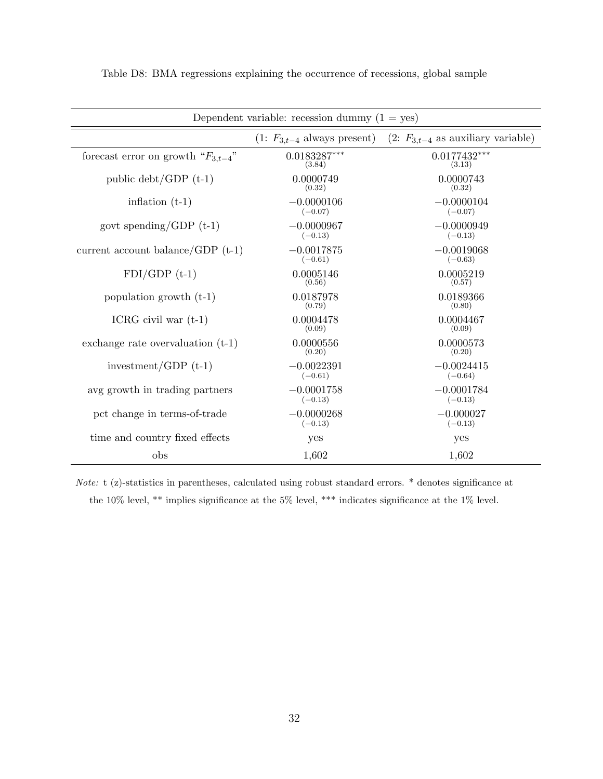| Dependent variable: recession dummy $(1 = yes)$ |                                 |                                        |  |  |
|-------------------------------------------------|---------------------------------|----------------------------------------|--|--|
|                                                 | $(1: F_{3,t-4}$ always present) | $(2: F_{3,t-4}$ as auxiliary variable) |  |  |
| forecast error on growth " $F_{3,t-4}$ "        | $0.0183287***$<br>(3.84)        | $0.0177432***$<br>(3.13)               |  |  |
| public $\text{debt}/\text{GDP}$ (t-1)           | 0.0000749<br>(0.32)             | 0.0000743<br>(0.32)                    |  |  |
| inflation $(t-1)$                               | $-0.0000106$<br>$(-0.07)$       | $-0.0000104$<br>$(-0.07)$              |  |  |
| govt spending/GDP $(t-1)$                       | $-0.0000967$<br>$(-0.13)$       | $-0.0000949$<br>$(-0.13)$              |  |  |
| current account balance/GDP $(t-1)$             | $-0.0017875$<br>$(-0.61)$       | $-0.0019068$<br>$(-0.63)$              |  |  |
| $FDI/GDP$ (t-1)                                 | 0.0005146<br>(0.56)             | 0.0005219<br>(0.57)                    |  |  |
| population growth $(t-1)$                       | 0.0187978<br>(0.79)             | 0.0189366<br>(0.80)                    |  |  |
| ICRG civil war $(t-1)$                          | 0.0004478<br>(0.09)             | 0.0004467<br>(0.09)                    |  |  |
| exchange rate overvaluation $(t-1)$             | 0.0000556<br>(0.20)             | 0.0000573<br>(0.20)                    |  |  |
| investment/GDP $(t-1)$                          | $-0.0022391$<br>$(-0.61)$       | $-0.0024415$<br>$(-0.64)$              |  |  |
| avg growth in trading partners                  | $-0.0001758$<br>$(-0.13)$       | $-0.0001784$<br>$(-0.13)$              |  |  |
| pct change in terms-of-trade                    | $-0.0000268$<br>$(-0.13)$       | $-0.000027$<br>$(-0.13)$               |  |  |
| time and country fixed effects                  | yes                             | yes                                    |  |  |
| obs                                             | 1,602                           | 1,602                                  |  |  |

Table D8: BMA regressions explaining the occurrence of recessions, global sample

Note: t (z)-statistics in parentheses, calculated using robust standard errors. \* denotes significance at the 10% level, \*\* implies significance at the 5% level, \*\*\* indicates significance at the 1% level.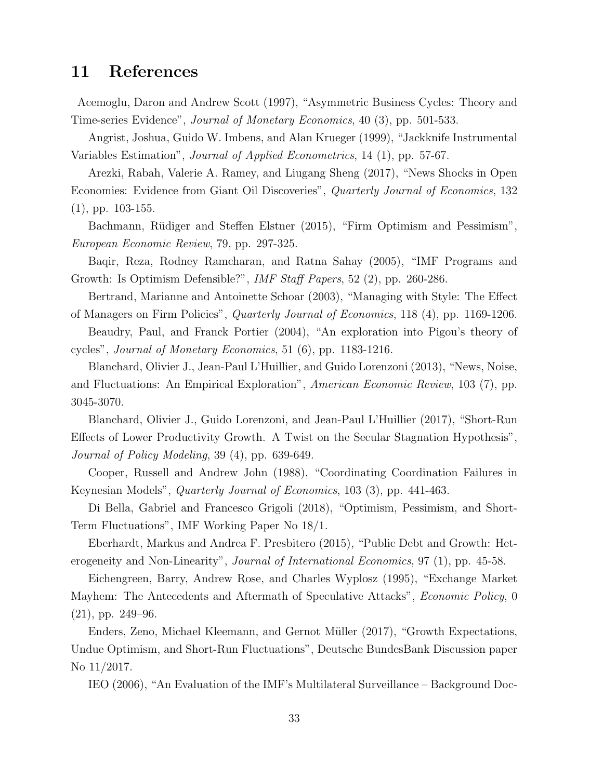## 11 References

Acemoglu, Daron and Andrew Scott (1997), "Asymmetric Business Cycles: Theory and Time-series Evidence", Journal of Monetary Economics, 40 (3), pp. 501-533.

Angrist, Joshua, Guido W. Imbens, and Alan Krueger (1999), "Jackknife Instrumental Variables Estimation", Journal of Applied Econometrics, 14 (1), pp. 57-67.

Arezki, Rabah, Valerie A. Ramey, and Liugang Sheng (2017), "News Shocks in Open Economies: Evidence from Giant Oil Discoveries", Quarterly Journal of Economics, 132 (1), pp. 103-155.

Bachmann, Rüdiger and Steffen Elstner (2015), "Firm Optimism and Pessimism", European Economic Review, 79, pp. 297-325.

Baqir, Reza, Rodney Ramcharan, and Ratna Sahay (2005), "IMF Programs and Growth: Is Optimism Defensible?", IMF Staff Papers, 52 (2), pp. 260-286.

Bertrand, Marianne and Antoinette Schoar (2003), "Managing with Style: The Effect of Managers on Firm Policies", Quarterly Journal of Economics, 118 (4), pp. 1169-1206.

Beaudry, Paul, and Franck Portier (2004), "An exploration into Pigou's theory of cycles", Journal of Monetary Economics, 51 (6), pp. 1183-1216.

Blanchard, Olivier J., Jean-Paul L'Huillier, and Guido Lorenzoni (2013), "News, Noise, and Fluctuations: An Empirical Exploration", American Economic Review, 103 (7), pp. 3045-3070.

Blanchard, Olivier J., Guido Lorenzoni, and Jean-Paul L'Huillier (2017), "Short-Run Effects of Lower Productivity Growth. A Twist on the Secular Stagnation Hypothesis", Journal of Policy Modeling, 39 (4), pp. 639-649.

Cooper, Russell and Andrew John (1988), "Coordinating Coordination Failures in Keynesian Models", Quarterly Journal of Economics, 103 (3), pp. 441-463.

Di Bella, Gabriel and Francesco Grigoli (2018), "Optimism, Pessimism, and Short-Term Fluctuations", IMF Working Paper No 18/1.

Eberhardt, Markus and Andrea F. Presbitero (2015), "Public Debt and Growth: Heterogeneity and Non-Linearity", *Journal of International Economics*, 97 (1), pp. 45-58.

Eichengreen, Barry, Andrew Rose, and Charles Wyplosz (1995), "Exchange Market Mayhem: The Antecedents and Aftermath of Speculative Attacks", *Economic Policy*, 0 (21), pp. 249–96.

Enders, Zeno, Michael Kleemann, and Gernot Müller (2017), "Growth Expectations, Undue Optimism, and Short-Run Fluctuations", Deutsche BundesBank Discussion paper No 11/2017.

IEO (2006), "An Evaluation of the IMF's Multilateral Surveillance – Background Doc-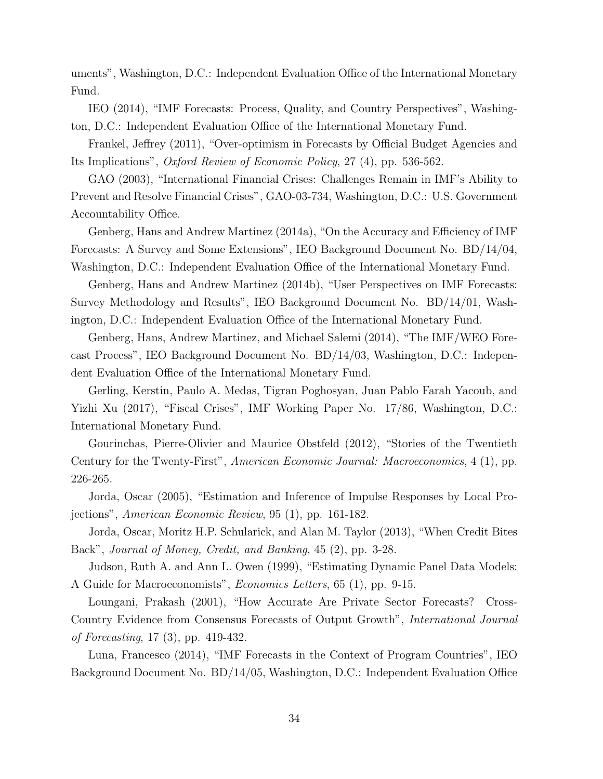uments", Washington, D.C.: Independent Evaluation Office of the International Monetary Fund.

IEO (2014), "IMF Forecasts: Process, Quality, and Country Perspectives", Washington, D.C.: Independent Evaluation Office of the International Monetary Fund.

Frankel, Jeffrey (2011), "Over-optimism in Forecasts by Official Budget Agencies and Its Implications", Oxford Review of Economic Policy, 27 (4), pp. 536-562.

GAO (2003), "International Financial Crises: Challenges Remain in IMF's Ability to Prevent and Resolve Financial Crises", GAO-03-734, Washington, D.C.: U.S. Government Accountability Office.

Genberg, Hans and Andrew Martinez (2014a), "On the Accuracy and Efficiency of IMF Forecasts: A Survey and Some Extensions", IEO Background Document No. BD/14/04, Washington, D.C.: Independent Evaluation Office of the International Monetary Fund.

Genberg, Hans and Andrew Martinez (2014b), "User Perspectives on IMF Forecasts: Survey Methodology and Results", IEO Background Document No. BD/14/01, Washington, D.C.: Independent Evaluation Office of the International Monetary Fund.

Genberg, Hans, Andrew Martinez, and Michael Salemi (2014), "The IMF/WEO Forecast Process", IEO Background Document No. BD/14/03, Washington, D.C.: Independent Evaluation Office of the International Monetary Fund.

Gerling, Kerstin, Paulo A. Medas, Tigran Poghosyan, Juan Pablo Farah Yacoub, and Yizhi Xu (2017), "Fiscal Crises", IMF Working Paper No. 17/86, Washington, D.C.: International Monetary Fund.

Gourinchas, Pierre-Olivier and Maurice Obstfeld (2012), "Stories of the Twentieth Century for the Twenty-First", American Economic Journal: Macroeconomics, 4 (1), pp. 226-265.

Jorda, Oscar (2005), "Estimation and Inference of Impulse Responses by Local Projections", American Economic Review, 95 (1), pp. 161-182.

Jorda, Oscar, Moritz H.P. Schularick, and Alan M. Taylor (2013), "When Credit Bites Back", Journal of Money, Credit, and Banking, 45 (2), pp. 3-28.

Judson, Ruth A. and Ann L. Owen (1999), "Estimating Dynamic Panel Data Models: A Guide for Macroeconomists", Economics Letters, 65 (1), pp. 9-15.

Loungani, Prakash (2001), "How Accurate Are Private Sector Forecasts? Cross-Country Evidence from Consensus Forecasts of Output Growth", International Journal of Forecasting, 17 (3), pp. 419-432.

Luna, Francesco (2014), "IMF Forecasts in the Context of Program Countries", IEO Background Document No. BD/14/05, Washington, D.C.: Independent Evaluation Office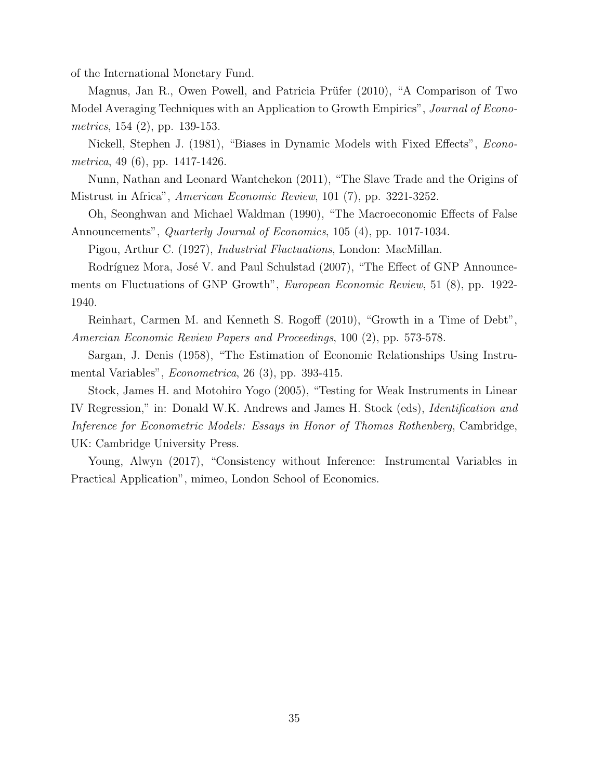of the International Monetary Fund.

Magnus, Jan R., Owen Powell, and Patricia Prüfer (2010), "A Comparison of Two Model Averaging Techniques with an Application to Growth Empirics", Journal of Econometrics, 154 (2), pp. 139-153.

Nickell, Stephen J. (1981), "Biases in Dynamic Models with Fixed Effects", Econometrica, 49 (6), pp. 1417-1426.

Nunn, Nathan and Leonard Wantchekon (2011), "The Slave Trade and the Origins of Mistrust in Africa", American Economic Review, 101 (7), pp. 3221-3252.

Oh, Seonghwan and Michael Waldman (1990), "The Macroeconomic Effects of False Announcements", Quarterly Journal of Economics, 105 (4), pp. 1017-1034.

Pigou, Arthur C. (1927), Industrial Fluctuations, London: MacMillan.

Rodríguez Mora, José V. and Paul Schulstad (2007), "The Effect of GNP Announcements on Fluctuations of GNP Growth", European Economic Review, 51 (8), pp. 1922- 1940.

Reinhart, Carmen M. and Kenneth S. Rogoff (2010), "Growth in a Time of Debt", Amercian Economic Review Papers and Proceedings, 100 (2), pp. 573-578.

Sargan, J. Denis (1958), "The Estimation of Economic Relationships Using Instrumental Variables", Econometrica, 26 (3), pp. 393-415.

Stock, James H. and Motohiro Yogo (2005), "Testing for Weak Instruments in Linear IV Regression," in: Donald W.K. Andrews and James H. Stock (eds), Identification and Inference for Econometric Models: Essays in Honor of Thomas Rothenberg, Cambridge, UK: Cambridge University Press.

Young, Alwyn (2017), "Consistency without Inference: Instrumental Variables in Practical Application", mimeo, London School of Economics.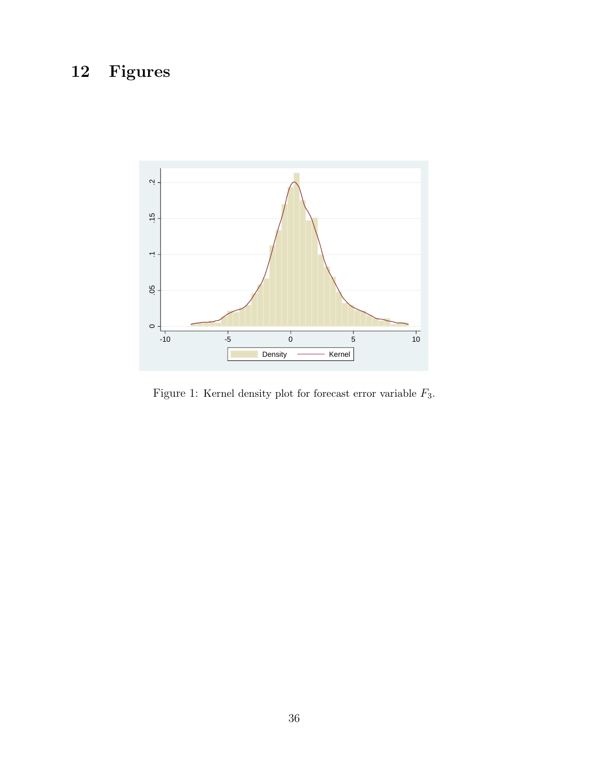# 12 Figures



Figure 1: Kernel density plot for forecast error variable  $F_3.$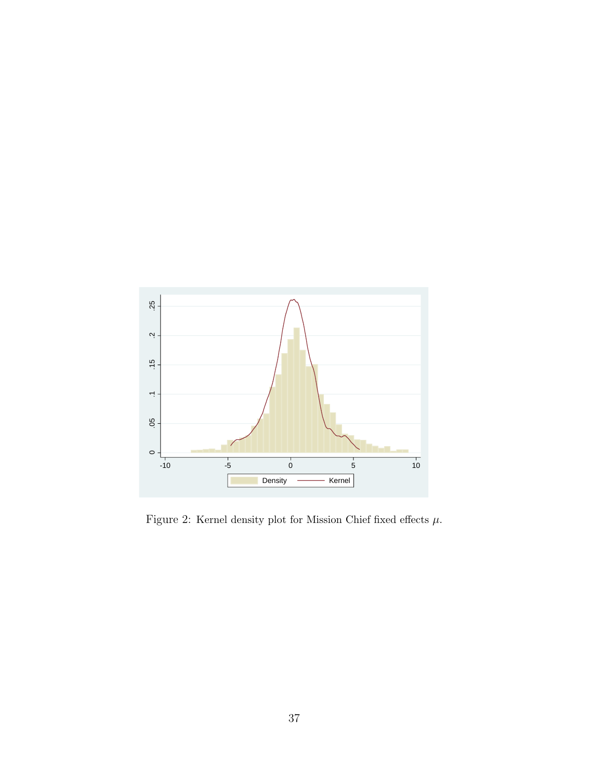

Figure 2: Kernel density plot for Mission Chief fixed effects  $\mu.$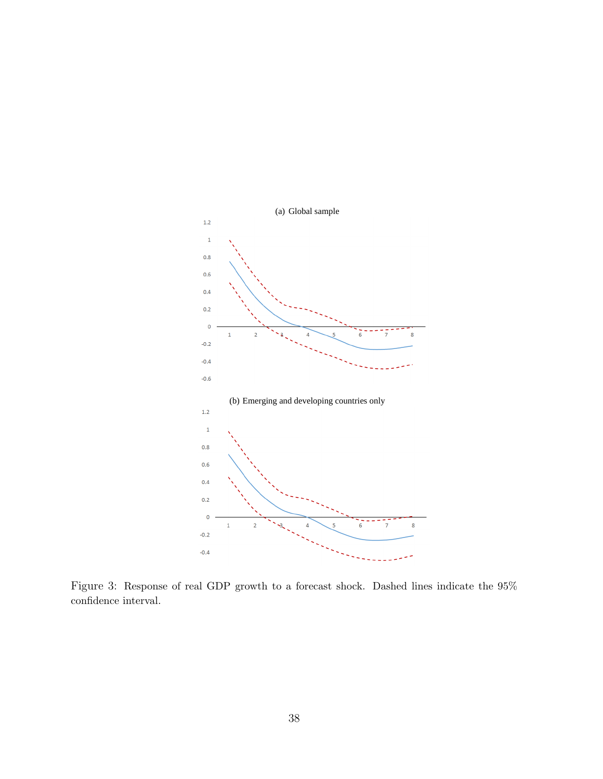

Figure 3: Response of real GDP growth to a forecast shock. Dashed lines indicate the 95% confidence interval.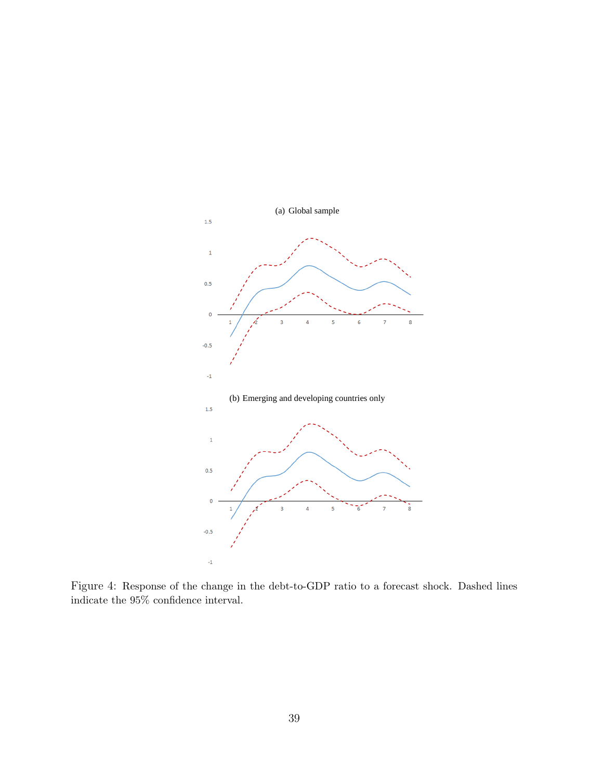

Figure 4: Response of the change in the debt-to-GDP ratio to a forecast shock. Dashed lines indicate the 95% confidence interval.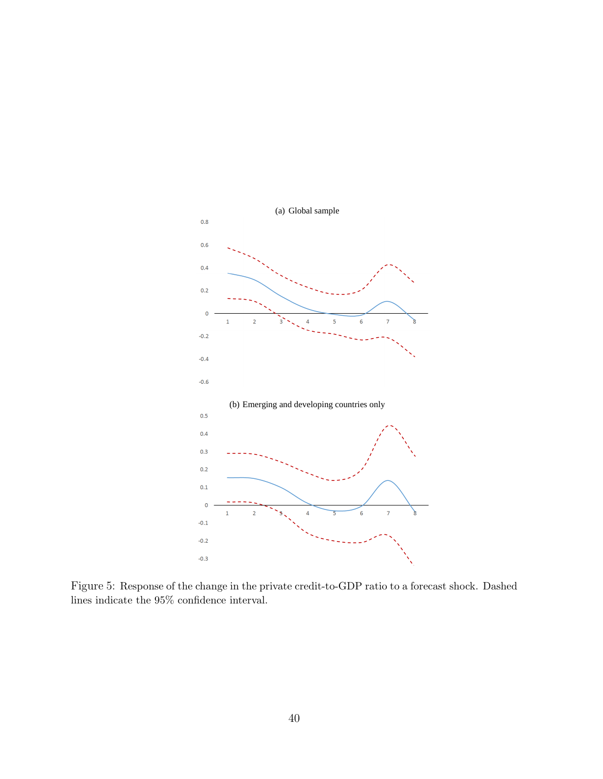

Figure 5: Response of the change in the private credit-to-GDP ratio to a forecast shock. Dashed lines indicate the 95% confidence interval.